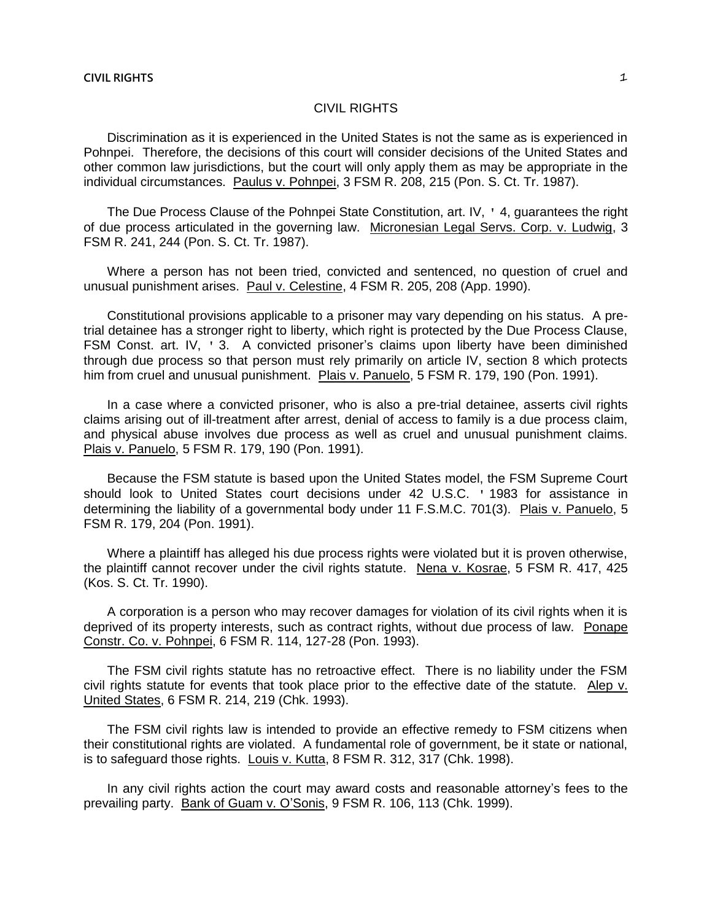# CIVIL RIGHTS

Discrimination as it is experienced in the United States is not the same as is experienced in Pohnpei. Therefore, the decisions of this court will consider decisions of the United States and other common law jurisdictions, but the court will only apply them as may be appropriate in the individual circumstances. Paulus v. Pohnpei, 3 FSM R. 208, 215 (Pon. S. Ct. Tr. 1987).

The Due Process Clause of the Pohnpei State Constitution, art. IV, ' 4, guarantees the right of due process articulated in the governing law. Micronesian Legal Servs. Corp. v. Ludwig, 3 FSM R. 241, 244 (Pon. S. Ct. Tr. 1987).

Where a person has not been tried, convicted and sentenced, no question of cruel and unusual punishment arises. Paul v. Celestine, 4 FSM R. 205, 208 (App. 1990).

Constitutional provisions applicable to a prisoner may vary depending on his status. A pretrial detainee has a stronger right to liberty, which right is protected by the Due Process Clause, FSM Const. art. IV, ' 3. A convicted prisoner's claims upon liberty have been diminished through due process so that person must rely primarily on article IV, section 8 which protects him from cruel and unusual punishment. Plais v. Panuelo, 5 FSM R. 179, 190 (Pon. 1991).

In a case where a convicted prisoner, who is also a pre-trial detainee, asserts civil rights claims arising out of ill-treatment after arrest, denial of access to family is a due process claim, and physical abuse involves due process as well as cruel and unusual punishment claims. Plais v. Panuelo, 5 FSM R. 179, 190 (Pon. 1991).

Because the FSM statute is based upon the United States model, the FSM Supreme Court should look to United States court decisions under 42 U.S.C. ' 1983 for assistance in determining the liability of a governmental body under 11 F.S.M.C. 701(3). Plais v. Panuelo, 5 FSM R. 179, 204 (Pon. 1991).

Where a plaintiff has alleged his due process rights were violated but it is proven otherwise, the plaintiff cannot recover under the civil rights statute. Nena v. Kosrae, 5 FSM R. 417, 425 (Kos. S. Ct. Tr. 1990).

A corporation is a person who may recover damages for violation of its civil rights when it is deprived of its property interests, such as contract rights, without due process of law. Ponape Constr. Co. v. Pohnpei, 6 FSM R. 114, 127-28 (Pon. 1993).

The FSM civil rights statute has no retroactive effect. There is no liability under the FSM civil rights statute for events that took place prior to the effective date of the statute. Alep v. United States, 6 FSM R. 214, 219 (Chk. 1993).

The FSM civil rights law is intended to provide an effective remedy to FSM citizens when their constitutional rights are violated. A fundamental role of government, be it state or national, is to safeguard those rights. Louis v. Kutta, 8 FSM R. 312, 317 (Chk. 1998).

In any civil rights action the court may award costs and reasonable attorney's fees to the prevailing party. Bank of Guam v. O'Sonis, 9 FSM R. 106, 113 (Chk. 1999).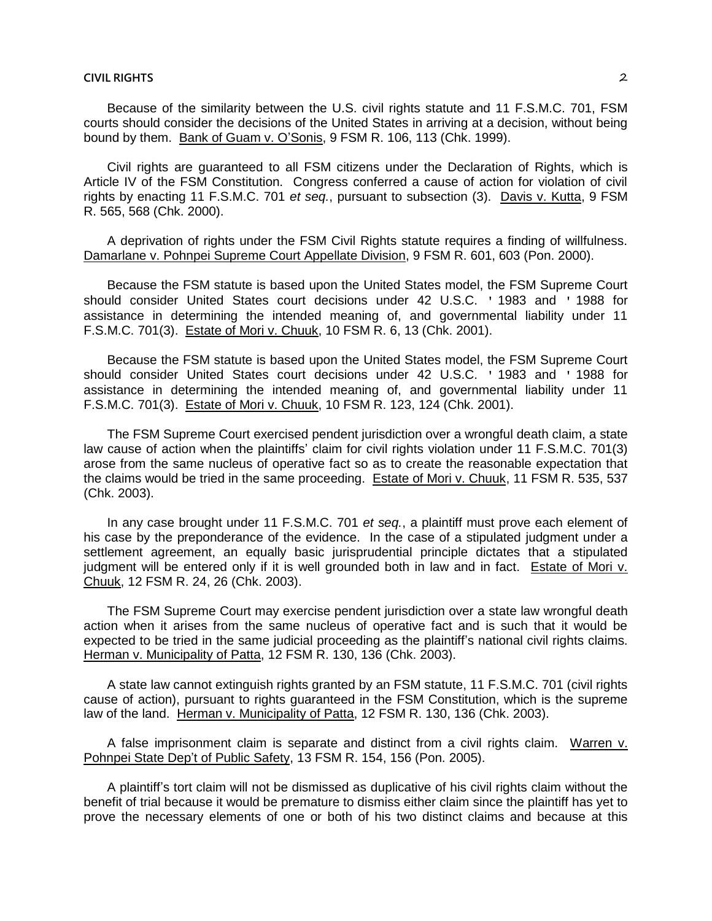Because of the similarity between the U.S. civil rights statute and 11 F.S.M.C. 701, FSM courts should consider the decisions of the United States in arriving at a decision, without being bound by them. Bank of Guam v. O'Sonis, 9 FSM R. 106, 113 (Chk. 1999).

Civil rights are guaranteed to all FSM citizens under the Declaration of Rights, which is Article IV of the FSM Constitution. Congress conferred a cause of action for violation of civil rights by enacting 11 F.S.M.C. 701 *et seq.*, pursuant to subsection (3). Davis v. Kutta, 9 FSM R. 565, 568 (Chk. 2000).

A deprivation of rights under the FSM Civil Rights statute requires a finding of willfulness. Damarlane v. Pohnpei Supreme Court Appellate Division, 9 FSM R. 601, 603 (Pon. 2000).

Because the FSM statute is based upon the United States model, the FSM Supreme Court should consider United States court decisions under 42 U.S.C. ' 1983 and ' 1988 for assistance in determining the intended meaning of, and governmental liability under 11 F.S.M.C. 701(3). Estate of Mori v. Chuuk, 10 FSM R. 6, 13 (Chk. 2001).

Because the FSM statute is based upon the United States model, the FSM Supreme Court should consider United States court decisions under 42 U.S.C. ' 1983 and ' 1988 for assistance in determining the intended meaning of, and governmental liability under 11 F.S.M.C. 701(3). Estate of Mori v. Chuuk, 10 FSM R. 123, 124 (Chk. 2001).

The FSM Supreme Court exercised pendent jurisdiction over a wrongful death claim, a state law cause of action when the plaintiffs' claim for civil rights violation under 11 F.S.M.C. 701(3) arose from the same nucleus of operative fact so as to create the reasonable expectation that the claims would be tried in the same proceeding. Estate of Mori v. Chuuk, 11 FSM R. 535, 537 (Chk. 2003).

In any case brought under 11 F.S.M.C. 701 *et seq.*, a plaintiff must prove each element of his case by the preponderance of the evidence. In the case of a stipulated judgment under a settlement agreement, an equally basic jurisprudential principle dictates that a stipulated judgment will be entered only if it is well grounded both in law and in fact. Estate of Mori v. Chuuk, 12 FSM R. 24, 26 (Chk. 2003).

The FSM Supreme Court may exercise pendent jurisdiction over a state law wrongful death action when it arises from the same nucleus of operative fact and is such that it would be expected to be tried in the same judicial proceeding as the plaintiff's national civil rights claims. Herman v. Municipality of Patta, 12 FSM R. 130, 136 (Chk. 2003).

A state law cannot extinguish rights granted by an FSM statute, 11 F.S.M.C. 701 (civil rights cause of action), pursuant to rights guaranteed in the FSM Constitution, which is the supreme law of the land. Herman v. Municipality of Patta, 12 FSM R. 130, 136 (Chk. 2003).

A false imprisonment claim is separate and distinct from a civil rights claim. Warren v. Pohnpei State Dep't of Public Safety, 13 FSM R. 154, 156 (Pon. 2005).

A plaintiff's tort claim will not be dismissed as duplicative of his civil rights claim without the benefit of trial because it would be premature to dismiss either claim since the plaintiff has yet to prove the necessary elements of one or both of his two distinct claims and because at this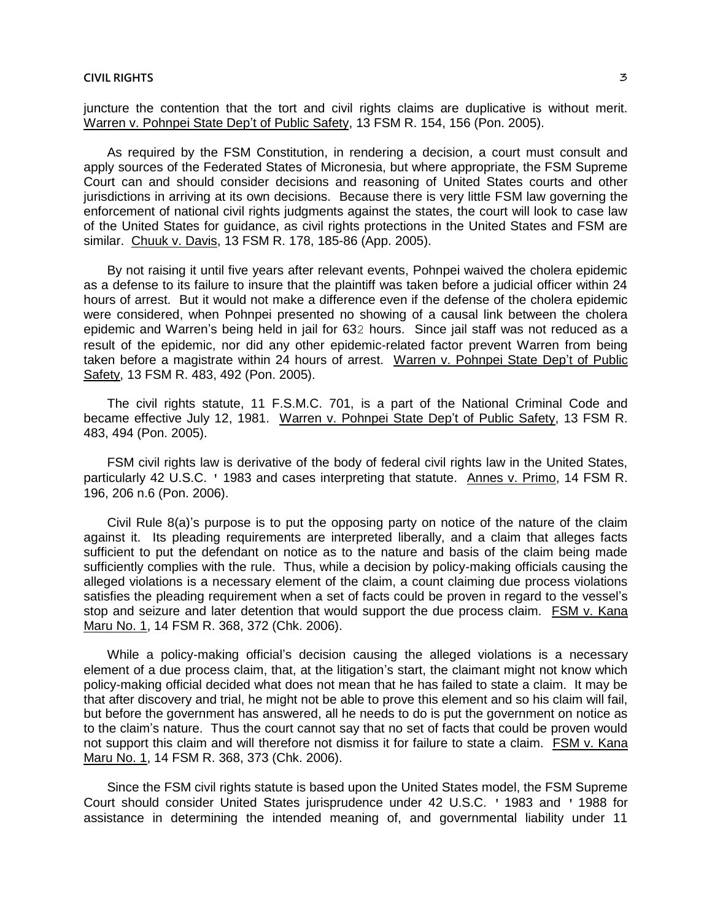juncture the contention that the tort and civil rights claims are duplicative is without merit. Warren v. Pohnpei State Dep't of Public Safety, 13 FSM R. 154, 156 (Pon. 2005).

As required by the FSM Constitution, in rendering a decision, a court must consult and apply sources of the Federated States of Micronesia, but where appropriate, the FSM Supreme Court can and should consider decisions and reasoning of United States courts and other jurisdictions in arriving at its own decisions. Because there is very little FSM law governing the enforcement of national civil rights judgments against the states, the court will look to case law of the United States for guidance, as civil rights protections in the United States and FSM are similar. Chuuk v. Davis, 13 FSM R. 178, 185-86 (App. 2005).

By not raising it until five years after relevant events, Pohnpei waived the cholera epidemic as a defense to its failure to insure that the plaintiff was taken before a judicial officer within 24 hours of arrest. But it would not make a difference even if the defense of the cholera epidemic were considered, when Pohnpei presented no showing of a causal link between the cholera epidemic and Warren's being held in jail for 632 hours. Since jail staff was not reduced as a result of the epidemic, nor did any other epidemic-related factor prevent Warren from being taken before a magistrate within 24 hours of arrest. Warren v. Pohnpei State Dep't of Public Safety, 13 FSM R. 483, 492 (Pon. 2005).

The civil rights statute, 11 F.S.M.C. 701, is a part of the National Criminal Code and became effective July 12, 1981. Warren v. Pohnpei State Dep't of Public Safety, 13 FSM R. 483, 494 (Pon. 2005).

FSM civil rights law is derivative of the body of federal civil rights law in the United States, particularly 42 U.S.C. ' 1983 and cases interpreting that statute. Annes v. Primo, 14 FSM R. 196, 206 n.6 (Pon. 2006).

Civil Rule 8(a)'s purpose is to put the opposing party on notice of the nature of the claim against it. Its pleading requirements are interpreted liberally, and a claim that alleges facts sufficient to put the defendant on notice as to the nature and basis of the claim being made sufficiently complies with the rule. Thus, while a decision by policy-making officials causing the alleged violations is a necessary element of the claim, a count claiming due process violations satisfies the pleading requirement when a set of facts could be proven in regard to the vessel's stop and seizure and later detention that would support the due process claim. FSM v. Kana Maru No. 1, 14 FSM R. 368, 372 (Chk. 2006).

While a policy-making official's decision causing the alleged violations is a necessary element of a due process claim, that, at the litigation's start, the claimant might not know which policy-making official decided what does not mean that he has failed to state a claim. It may be that after discovery and trial, he might not be able to prove this element and so his claim will fail, but before the government has answered, all he needs to do is put the government on notice as to the claim's nature. Thus the court cannot say that no set of facts that could be proven would not support this claim and will therefore not dismiss it for failure to state a claim. FSM v. Kana Maru No. 1, 14 FSM R. 368, 373 (Chk. 2006).

Since the FSM civil rights statute is based upon the United States model, the FSM Supreme Court should consider United States jurisprudence under 42 U.S.C. ' 1983 and ' 1988 for assistance in determining the intended meaning of, and governmental liability under 11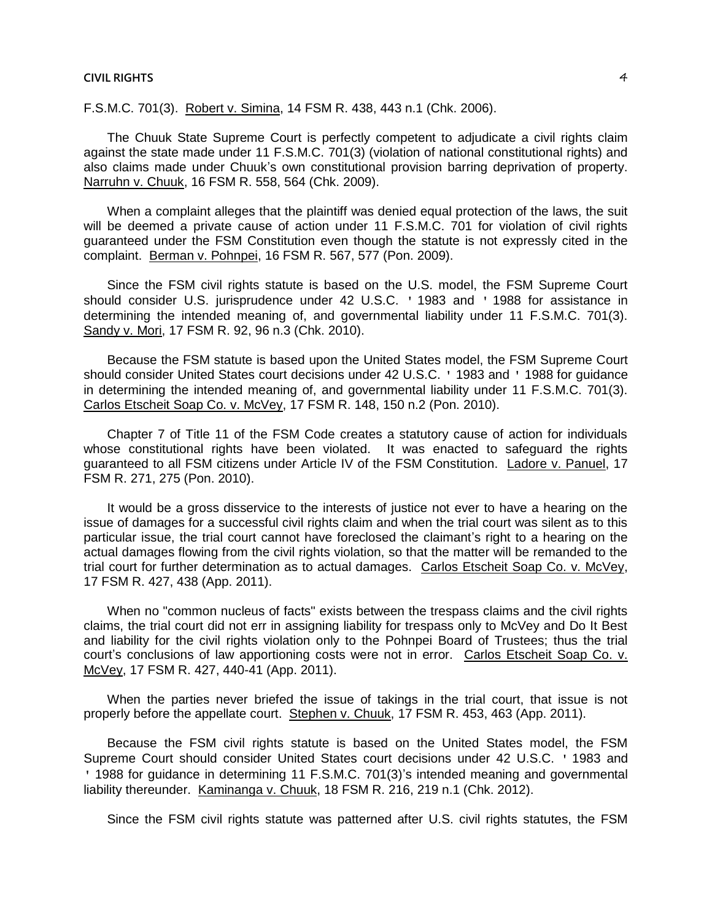F.S.M.C. 701(3). Robert v. Simina, 14 FSM R. 438, 443 n.1 (Chk. 2006).

The Chuuk State Supreme Court is perfectly competent to adjudicate a civil rights claim against the state made under 11 F.S.M.C. 701(3) (violation of national constitutional rights) and also claims made under Chuuk's own constitutional provision barring deprivation of property. Narruhn v. Chuuk, 16 FSM R. 558, 564 (Chk. 2009).

When a complaint alleges that the plaintiff was denied equal protection of the laws, the suit will be deemed a private cause of action under 11 F.S.M.C. 701 for violation of civil rights guaranteed under the FSM Constitution even though the statute is not expressly cited in the complaint. Berman v. Pohnpei, 16 FSM R. 567, 577 (Pon. 2009).

Since the FSM civil rights statute is based on the U.S. model, the FSM Supreme Court should consider U.S. jurisprudence under 42 U.S.C. ' 1983 and ' 1988 for assistance in determining the intended meaning of, and governmental liability under 11 F.S.M.C. 701(3). Sandy v. Mori, 17 FSM R. 92, 96 n.3 (Chk. 2010).

Because the FSM statute is based upon the United States model, the FSM Supreme Court should consider United States court decisions under 42 U.S.C. ' 1983 and ' 1988 for guidance in determining the intended meaning of, and governmental liability under 11 F.S.M.C. 701(3). Carlos Etscheit Soap Co. v. McVey, 17 FSM R. 148, 150 n.2 (Pon. 2010).

Chapter 7 of Title 11 of the FSM Code creates a statutory cause of action for individuals whose constitutional rights have been violated. It was enacted to safeguard the rights guaranteed to all FSM citizens under Article IV of the FSM Constitution. Ladore v. Panuel, 17 FSM R. 271, 275 (Pon. 2010).

It would be a gross disservice to the interests of justice not ever to have a hearing on the issue of damages for a successful civil rights claim and when the trial court was silent as to this particular issue, the trial court cannot have foreclosed the claimant's right to a hearing on the actual damages flowing from the civil rights violation, so that the matter will be remanded to the trial court for further determination as to actual damages. Carlos Etscheit Soap Co. v. McVey, 17 FSM R. 427, 438 (App. 2011).

When no "common nucleus of facts" exists between the trespass claims and the civil rights claims, the trial court did not err in assigning liability for trespass only to McVey and Do It Best and liability for the civil rights violation only to the Pohnpei Board of Trustees; thus the trial court's conclusions of law apportioning costs were not in error. Carlos Etscheit Soap Co. v. McVey, 17 FSM R. 427, 440-41 (App. 2011).

When the parties never briefed the issue of takings in the trial court, that issue is not properly before the appellate court. Stephen v. Chuuk, 17 FSM R. 453, 463 (App. 2011).

Because the FSM civil rights statute is based on the United States model, the FSM Supreme Court should consider United States court decisions under 42 U.S.C. ' 1983 and ' 1988 for guidance in determining 11 F.S.M.C. 701(3)'s intended meaning and governmental liability thereunder. Kaminanga v. Chuuk, 18 FSM R. 216, 219 n.1 (Chk. 2012).

Since the FSM civil rights statute was patterned after U.S. civil rights statutes, the FSM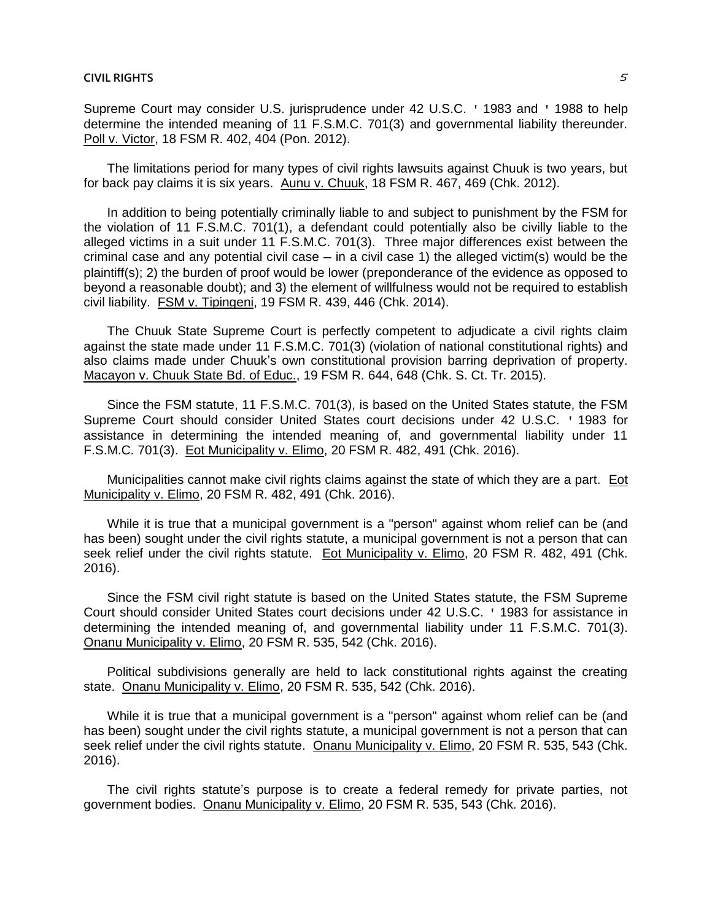Supreme Court may consider U.S. jurisprudence under 42 U.S.C. ' 1983 and ' 1988 to help determine the intended meaning of 11 F.S.M.C. 701(3) and governmental liability thereunder. Poll v. Victor, 18 FSM R. 402, 404 (Pon. 2012).

The limitations period for many types of civil rights lawsuits against Chuuk is two years, but for back pay claims it is six years. Aunu v. Chuuk, 18 FSM R. 467, 469 (Chk. 2012).

In addition to being potentially criminally liable to and subject to punishment by the FSM for the violation of 11 F.S.M.C. 701(1), a defendant could potentially also be civilly liable to the alleged victims in a suit under 11 F.S.M.C. 701(3). Three major differences exist between the criminal case and any potential civil case  $-$  in a civil case 1) the alleged victim(s) would be the plaintiff(s); 2) the burden of proof would be lower (preponderance of the evidence as opposed to beyond a reasonable doubt); and 3) the element of willfulness would not be required to establish civil liability. FSM v. Tipingeni, 19 FSM R. 439, 446 (Chk. 2014).

The Chuuk State Supreme Court is perfectly competent to adjudicate a civil rights claim against the state made under 11 F.S.M.C. 701(3) (violation of national constitutional rights) and also claims made under Chuuk's own constitutional provision barring deprivation of property. Macayon v. Chuuk State Bd. of Educ., 19 FSM R. 644, 648 (Chk. S. Ct. Tr. 2015).

Since the FSM statute, 11 F.S.M.C. 701(3), is based on the United States statute, the FSM Supreme Court should consider United States court decisions under 42 U.S.C. ' 1983 for assistance in determining the intended meaning of, and governmental liability under 11 F.S.M.C. 701(3). Eot Municipality v. Elimo, 20 FSM R. 482, 491 (Chk. 2016).

Municipalities cannot make civil rights claims against the state of which they are a part. Eot Municipality v. Elimo, 20 FSM R. 482, 491 (Chk. 2016).

While it is true that a municipal government is a "person" against whom relief can be (and has been) sought under the civil rights statute, a municipal government is not a person that can seek relief under the civil rights statute. Eot Municipality v. Elimo, 20 FSM R. 482, 491 (Chk. 2016).

Since the FSM civil right statute is based on the United States statute, the FSM Supreme Court should consider United States court decisions under 42 U.S.C. ' 1983 for assistance in determining the intended meaning of, and governmental liability under 11 F.S.M.C. 701(3). Onanu Municipality v. Elimo, 20 FSM R. 535, 542 (Chk. 2016).

Political subdivisions generally are held to lack constitutional rights against the creating state. Onanu Municipality v. Elimo, 20 FSM R. 535, 542 (Chk. 2016).

While it is true that a municipal government is a "person" against whom relief can be (and has been) sought under the civil rights statute, a municipal government is not a person that can seek relief under the civil rights statute. Onanu Municipality v. Elimo, 20 FSM R. 535, 543 (Chk. 2016).

The civil rights statute's purpose is to create a federal remedy for private parties, not government bodies. Onanu Municipality v. Elimo, 20 FSM R. 535, 543 (Chk. 2016).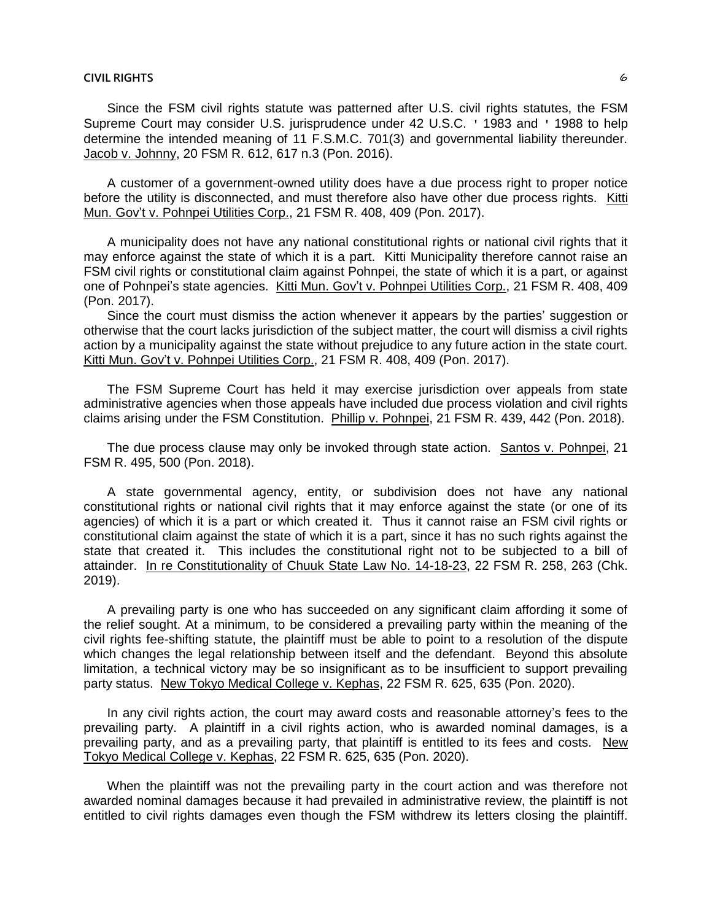Since the FSM civil rights statute was patterned after U.S. civil rights statutes, the FSM Supreme Court may consider U.S. jurisprudence under 42 U.S.C. ' 1983 and ' 1988 to help determine the intended meaning of 11 F.S.M.C. 701(3) and governmental liability thereunder. Jacob v. Johnny, 20 FSM R. 612, 617 n.3 (Pon. 2016).

A customer of a government-owned utility does have a due process right to proper notice before the utility is disconnected, and must therefore also have other due process rights. Kitti Mun. Gov't v. Pohnpei Utilities Corp., 21 FSM R. 408, 409 (Pon. 2017).

A municipality does not have any national constitutional rights or national civil rights that it may enforce against the state of which it is a part. Kitti Municipality therefore cannot raise an FSM civil rights or constitutional claim against Pohnpei, the state of which it is a part, or against one of Pohnpei's state agencies. Kitti Mun. Gov't v. Pohnpei Utilities Corp., 21 FSM R. 408, 409 (Pon. 2017).

Since the court must dismiss the action whenever it appears by the parties' suggestion or otherwise that the court lacks jurisdiction of the subject matter, the court will dismiss a civil rights action by a municipality against the state without prejudice to any future action in the state court. Kitti Mun. Gov't v. Pohnpei Utilities Corp., 21 FSM R. 408, 409 (Pon. 2017).

The FSM Supreme Court has held it may exercise jurisdiction over appeals from state administrative agencies when those appeals have included due process violation and civil rights claims arising under the FSM Constitution. Phillip v. Pohnpei, 21 FSM R. 439, 442 (Pon. 2018).

The due process clause may only be invoked through state action. Santos v. Pohnpei, 21 FSM R. 495, 500 (Pon. 2018).

A state governmental agency, entity, or subdivision does not have any national constitutional rights or national civil rights that it may enforce against the state (or one of its agencies) of which it is a part or which created it. Thus it cannot raise an FSM civil rights or constitutional claim against the state of which it is a part, since it has no such rights against the state that created it. This includes the constitutional right not to be subjected to a bill of attainder. In re Constitutionality of Chuuk State Law No. 14-18-23, 22 FSM R. 258, 263 (Chk. 2019).

A prevailing party is one who has succeeded on any significant claim affording it some of the relief sought. At a minimum, to be considered a prevailing party within the meaning of the civil rights fee-shifting statute, the plaintiff must be able to point to a resolution of the dispute which changes the legal relationship between itself and the defendant. Beyond this absolute limitation, a technical victory may be so insignificant as to be insufficient to support prevailing party status. New Tokyo Medical College v. Kephas, 22 FSM R. 625, 635 (Pon. 2020).

In any civil rights action, the court may award costs and reasonable attorney's fees to the prevailing party. A plaintiff in a civil rights action, who is awarded nominal damages, is a prevailing party, and as a prevailing party, that plaintiff is entitled to its fees and costs. New Tokyo Medical College v. Kephas, 22 FSM R. 625, 635 (Pon. 2020).

When the plaintiff was not the prevailing party in the court action and was therefore not awarded nominal damages because it had prevailed in administrative review, the plaintiff is not entitled to civil rights damages even though the FSM withdrew its letters closing the plaintiff.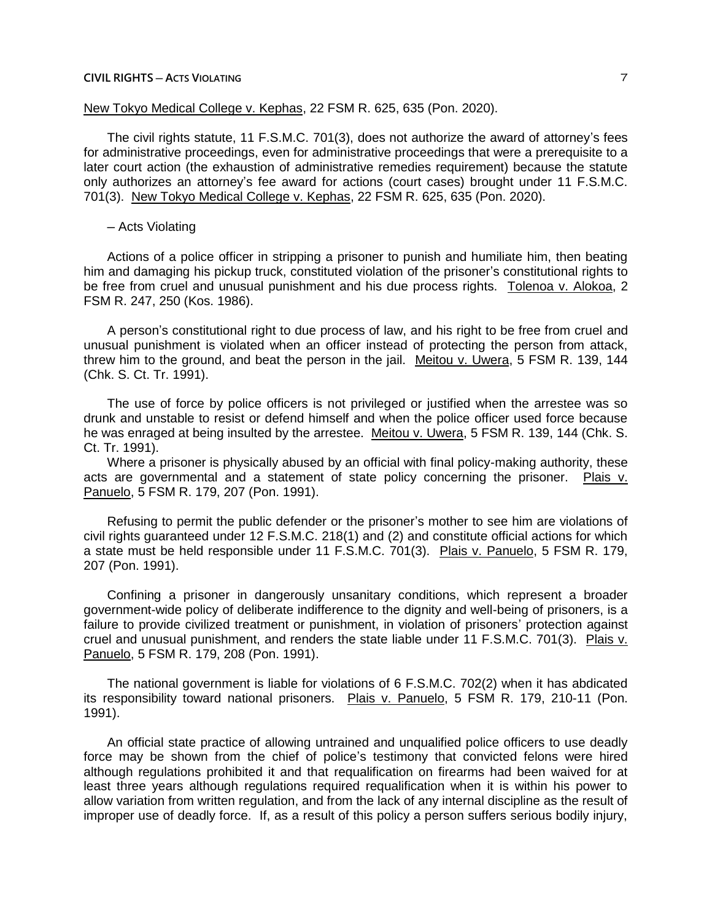# New Tokyo Medical College v. Kephas, 22 FSM R. 625, 635 (Pon. 2020).

The civil rights statute, 11 F.S.M.C. 701(3), does not authorize the award of attorney's fees for administrative proceedings, even for administrative proceedings that were a prerequisite to a later court action (the exhaustion of administrative remedies requirement) because the statute only authorizes an attorney's fee award for actions (court cases) brought under 11 F.S.M.C. 701(3). New Tokyo Medical College v. Kephas, 22 FSM R. 625, 635 (Pon. 2020).

─ Acts Violating

Actions of a police officer in stripping a prisoner to punish and humiliate him, then beating him and damaging his pickup truck, constituted violation of the prisoner's constitutional rights to be free from cruel and unusual punishment and his due process rights. Tolenoa v. Alokoa, 2 FSM R. 247, 250 (Kos. 1986).

A person's constitutional right to due process of law, and his right to be free from cruel and unusual punishment is violated when an officer instead of protecting the person from attack, threw him to the ground, and beat the person in the jail. Meitou v. Uwera, 5 FSM R. 139, 144 (Chk. S. Ct. Tr. 1991).

The use of force by police officers is not privileged or justified when the arrestee was so drunk and unstable to resist or defend himself and when the police officer used force because he was enraged at being insulted by the arrestee. Meitou v. Uwera, 5 FSM R. 139, 144 (Chk. S. Ct. Tr. 1991).

Where a prisoner is physically abused by an official with final policy-making authority, these acts are governmental and a statement of state policy concerning the prisoner. Plais v. Panuelo, 5 FSM R. 179, 207 (Pon. 1991).

Refusing to permit the public defender or the prisoner's mother to see him are violations of civil rights guaranteed under 12 F.S.M.C. 218(1) and (2) and constitute official actions for which a state must be held responsible under 11 F.S.M.C. 701(3). Plais v. Panuelo, 5 FSM R. 179, 207 (Pon. 1991).

Confining a prisoner in dangerously unsanitary conditions, which represent a broader government-wide policy of deliberate indifference to the dignity and well-being of prisoners, is a failure to provide civilized treatment or punishment, in violation of prisoners' protection against cruel and unusual punishment, and renders the state liable under 11 F.S.M.C. 701(3). Plais v. Panuelo, 5 FSM R. 179, 208 (Pon. 1991).

The national government is liable for violations of 6 F.S.M.C. 702(2) when it has abdicated its responsibility toward national prisoners. Plais v. Panuelo, 5 FSM R. 179, 210-11 (Pon. 1991).

An official state practice of allowing untrained and unqualified police officers to use deadly force may be shown from the chief of police's testimony that convicted felons were hired although regulations prohibited it and that requalification on firearms had been waived for at least three years although regulations required requalification when it is within his power to allow variation from written regulation, and from the lack of any internal discipline as the result of improper use of deadly force. If, as a result of this policy a person suffers serious bodily injury,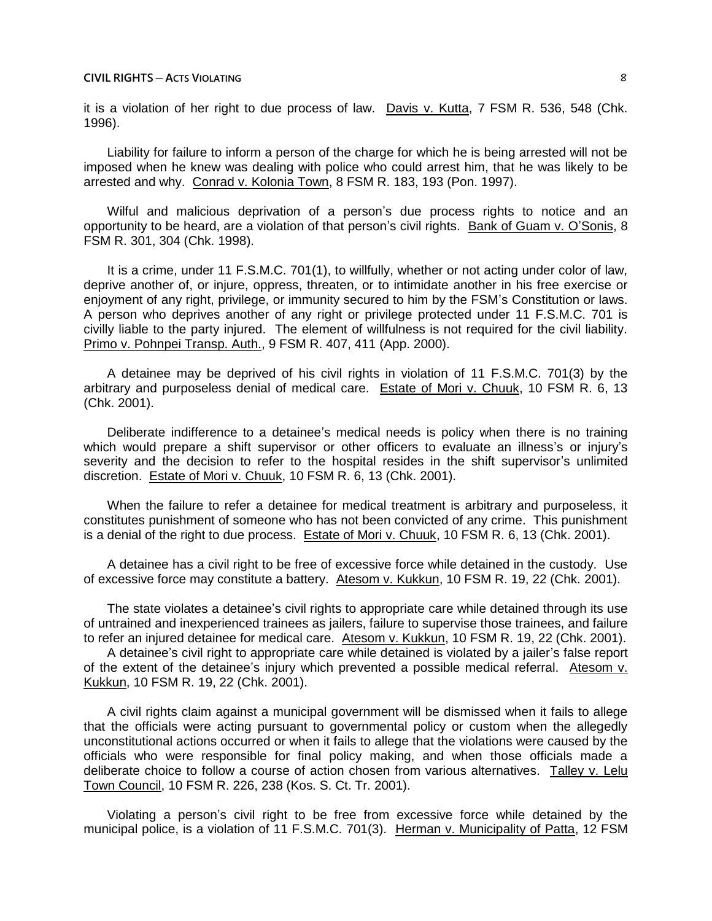it is a violation of her right to due process of law. Davis v. Kutta, 7 FSM R. 536, 548 (Chk. 1996).

Liability for failure to inform a person of the charge for which he is being arrested will not be imposed when he knew was dealing with police who could arrest him, that he was likely to be arrested and why. Conrad v. Kolonia Town, 8 FSM R. 183, 193 (Pon. 1997).

Wilful and malicious deprivation of a person's due process rights to notice and an opportunity to be heard, are a violation of that person's civil rights. Bank of Guam v. O'Sonis, 8 FSM R. 301, 304 (Chk. 1998).

It is a crime, under 11 F.S.M.C. 701(1), to willfully, whether or not acting under color of law, deprive another of, or injure, oppress, threaten, or to intimidate another in his free exercise or enjoyment of any right, privilege, or immunity secured to him by the FSM's Constitution or laws. A person who deprives another of any right or privilege protected under 11 F.S.M.C. 701 is civilly liable to the party injured. The element of willfulness is not required for the civil liability. Primo v. Pohnpei Transp. Auth., 9 FSM R. 407, 411 (App. 2000).

A detainee may be deprived of his civil rights in violation of 11 F.S.M.C. 701(3) by the arbitrary and purposeless denial of medical care. Estate of Mori v. Chuuk, 10 FSM R. 6, 13 (Chk. 2001).

Deliberate indifference to a detainee's medical needs is policy when there is no training which would prepare a shift supervisor or other officers to evaluate an illness's or injury's severity and the decision to refer to the hospital resides in the shift supervisor's unlimited discretion. Estate of Mori v. Chuuk, 10 FSM R. 6, 13 (Chk. 2001).

When the failure to refer a detainee for medical treatment is arbitrary and purposeless, it constitutes punishment of someone who has not been convicted of any crime. This punishment is a denial of the right to due process. Estate of Mori v. Chuuk, 10 FSM R. 6, 13 (Chk. 2001).

A detainee has a civil right to be free of excessive force while detained in the custody. Use of excessive force may constitute a battery. Atesom v. Kukkun, 10 FSM R. 19, 22 (Chk. 2001).

The state violates a detainee's civil rights to appropriate care while detained through its use of untrained and inexperienced trainees as jailers, failure to supervise those trainees, and failure to refer an injured detainee for medical care. Atesom v. Kukkun, 10 FSM R. 19, 22 (Chk. 2001).

A detainee's civil right to appropriate care while detained is violated by a jailer's false report of the extent of the detainee's injury which prevented a possible medical referral. Atesom v. Kukkun, 10 FSM R. 19, 22 (Chk. 2001).

A civil rights claim against a municipal government will be dismissed when it fails to allege that the officials were acting pursuant to governmental policy or custom when the allegedly unconstitutional actions occurred or when it fails to allege that the violations were caused by the officials who were responsible for final policy making, and when those officials made a deliberate choice to follow a course of action chosen from various alternatives. Talley v. Lelu Town Council, 10 FSM R. 226, 238 (Kos. S. Ct. Tr. 2001).

Violating a person's civil right to be free from excessive force while detained by the municipal police, is a violation of 11 F.S.M.C. 701(3). Herman v. Municipality of Patta, 12 FSM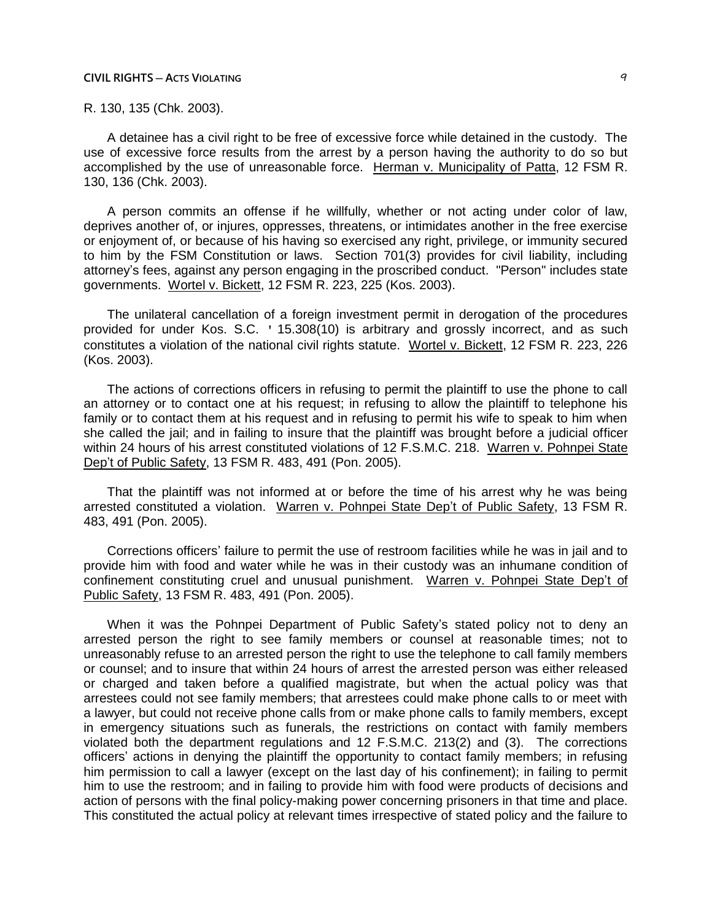R. 130, 135 (Chk. 2003).

A detainee has a civil right to be free of excessive force while detained in the custody. The use of excessive force results from the arrest by a person having the authority to do so but accomplished by the use of unreasonable force. Herman v. Municipality of Patta, 12 FSM R. 130, 136 (Chk. 2003).

A person commits an offense if he willfully, whether or not acting under color of law, deprives another of, or injures, oppresses, threatens, or intimidates another in the free exercise or enjoyment of, or because of his having so exercised any right, privilege, or immunity secured to him by the FSM Constitution or laws. Section 701(3) provides for civil liability, including attorney's fees, against any person engaging in the proscribed conduct. "Person" includes state governments. Wortel v. Bickett, 12 FSM R. 223, 225 (Kos. 2003).

The unilateral cancellation of a foreign investment permit in derogation of the procedures provided for under Kos. S.C. ' 15.308(10) is arbitrary and grossly incorrect, and as such constitutes a violation of the national civil rights statute. Wortel v. Bickett, 12 FSM R. 223, 226 (Kos. 2003).

The actions of corrections officers in refusing to permit the plaintiff to use the phone to call an attorney or to contact one at his request; in refusing to allow the plaintiff to telephone his family or to contact them at his request and in refusing to permit his wife to speak to him when she called the jail; and in failing to insure that the plaintiff was brought before a judicial officer within 24 hours of his arrest constituted violations of 12 F.S.M.C. 218. Warren v. Pohnpei State Dep't of Public Safety, 13 FSM R. 483, 491 (Pon. 2005).

That the plaintiff was not informed at or before the time of his arrest why he was being arrested constituted a violation. Warren v. Pohnpei State Dep't of Public Safety, 13 FSM R. 483, 491 (Pon. 2005).

Corrections officers' failure to permit the use of restroom facilities while he was in jail and to provide him with food and water while he was in their custody was an inhumane condition of confinement constituting cruel and unusual punishment. Warren v. Pohnpei State Dep't of Public Safety, 13 FSM R. 483, 491 (Pon. 2005).

When it was the Pohnpei Department of Public Safety's stated policy not to deny an arrested person the right to see family members or counsel at reasonable times; not to unreasonably refuse to an arrested person the right to use the telephone to call family members or counsel; and to insure that within 24 hours of arrest the arrested person was either released or charged and taken before a qualified magistrate, but when the actual policy was that arrestees could not see family members; that arrestees could make phone calls to or meet with a lawyer, but could not receive phone calls from or make phone calls to family members, except in emergency situations such as funerals, the restrictions on contact with family members violated both the department regulations and 12 F.S.M.C. 213(2) and (3). The corrections officers' actions in denying the plaintiff the opportunity to contact family members; in refusing him permission to call a lawyer (except on the last day of his confinement); in failing to permit him to use the restroom; and in failing to provide him with food were products of decisions and action of persons with the final policy-making power concerning prisoners in that time and place. This constituted the actual policy at relevant times irrespective of stated policy and the failure to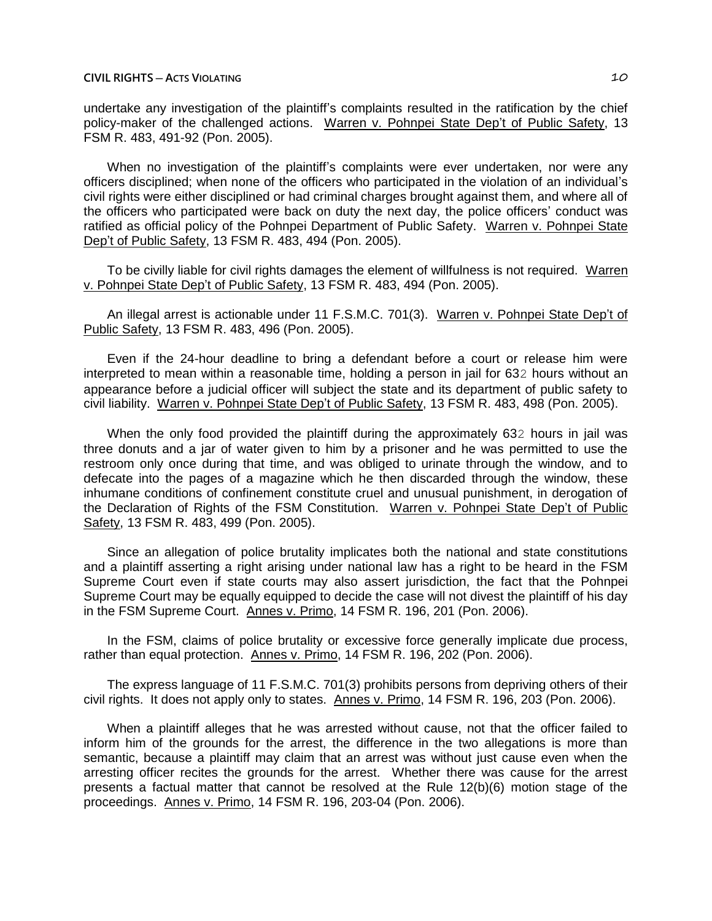undertake any investigation of the plaintiff's complaints resulted in the ratification by the chief policy-maker of the challenged actions. Warren v. Pohnpei State Dep't of Public Safety, 13 FSM R. 483, 491-92 (Pon. 2005).

When no investigation of the plaintiff's complaints were ever undertaken, nor were any officers disciplined; when none of the officers who participated in the violation of an individual's civil rights were either disciplined or had criminal charges brought against them, and where all of the officers who participated were back on duty the next day, the police officers' conduct was ratified as official policy of the Pohnpei Department of Public Safety. Warren v. Pohnpei State Dep't of Public Safety, 13 FSM R. 483, 494 (Pon. 2005).

To be civilly liable for civil rights damages the element of willfulness is not required. Warren v. Pohnpei State Dep't of Public Safety, 13 FSM R. 483, 494 (Pon. 2005).

An illegal arrest is actionable under 11 F.S.M.C. 701(3). Warren v. Pohnpei State Dep't of Public Safety, 13 FSM R. 483, 496 (Pon. 2005).

Even if the 24-hour deadline to bring a defendant before a court or release him were interpreted to mean within a reasonable time, holding a person in jail for 632 hours without an appearance before a judicial officer will subject the state and its department of public safety to civil liability. Warren v. Pohnpei State Dep't of Public Safety, 13 FSM R. 483, 498 (Pon. 2005).

When the only food provided the plaintiff during the approximately 632 hours in jail was three donuts and a jar of water given to him by a prisoner and he was permitted to use the restroom only once during that time, and was obliged to urinate through the window, and to defecate into the pages of a magazine which he then discarded through the window, these inhumane conditions of confinement constitute cruel and unusual punishment, in derogation of the Declaration of Rights of the FSM Constitution. Warren v. Pohnpei State Dep't of Public Safety, 13 FSM R. 483, 499 (Pon. 2005).

Since an allegation of police brutality implicates both the national and state constitutions and a plaintiff asserting a right arising under national law has a right to be heard in the FSM Supreme Court even if state courts may also assert jurisdiction, the fact that the Pohnpei Supreme Court may be equally equipped to decide the case will not divest the plaintiff of his day in the FSM Supreme Court. Annes v. Primo, 14 FSM R. 196, 201 (Pon. 2006).

In the FSM, claims of police brutality or excessive force generally implicate due process, rather than equal protection. Annes v. Primo, 14 FSM R. 196, 202 (Pon. 2006).

The express language of 11 F.S.M.C. 701(3) prohibits persons from depriving others of their civil rights. It does not apply only to states. Annes v. Primo, 14 FSM R. 196, 203 (Pon. 2006).

When a plaintiff alleges that he was arrested without cause, not that the officer failed to inform him of the grounds for the arrest, the difference in the two allegations is more than semantic, because a plaintiff may claim that an arrest was without just cause even when the arresting officer recites the grounds for the arrest. Whether there was cause for the arrest presents a factual matter that cannot be resolved at the Rule 12(b)(6) motion stage of the proceedings. Annes v. Primo, 14 FSM R. 196, 203-04 (Pon. 2006).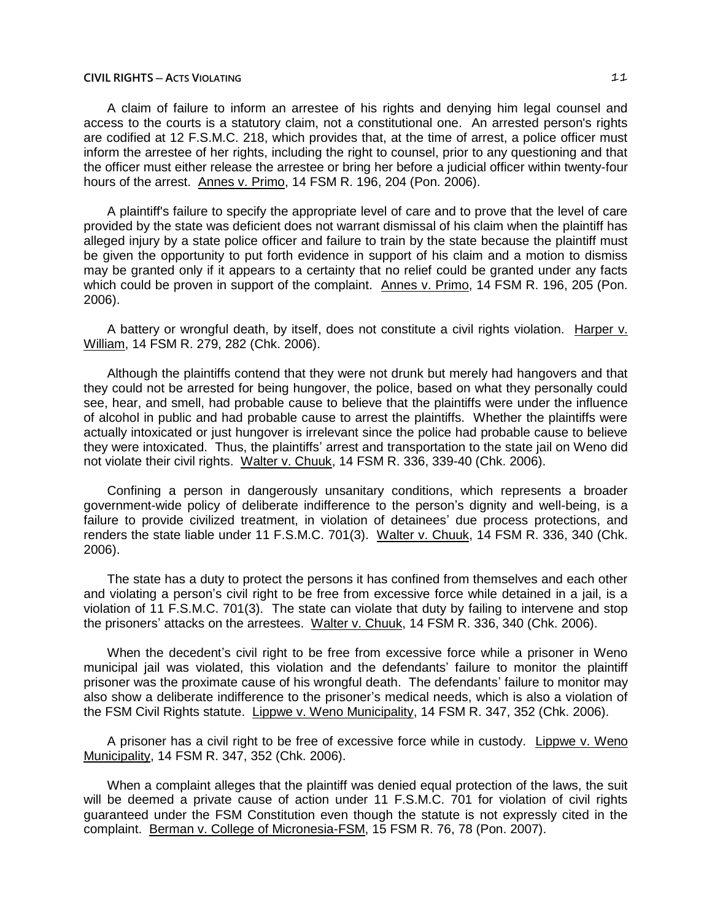A claim of failure to inform an arrestee of his rights and denying him legal counsel and access to the courts is a statutory claim, not a constitutional one. An arrested person's rights are codified at 12 F.S.M.C. 218, which provides that, at the time of arrest, a police officer must inform the arrestee of her rights, including the right to counsel, prior to any questioning and that the officer must either release the arrestee or bring her before a judicial officer within twenty-four hours of the arrest. Annes v. Primo, 14 FSM R. 196, 204 (Pon. 2006).

A plaintiff's failure to specify the appropriate level of care and to prove that the level of care provided by the state was deficient does not warrant dismissal of his claim when the plaintiff has alleged injury by a state police officer and failure to train by the state because the plaintiff must be given the opportunity to put forth evidence in support of his claim and a motion to dismiss may be granted only if it appears to a certainty that no relief could be granted under any facts which could be proven in support of the complaint. Annes v. Primo, 14 FSM R. 196, 205 (Pon. 2006).

A battery or wrongful death, by itself, does not constitute a civil rights violation. Harper v. William, 14 FSM R. 279, 282 (Chk. 2006).

Although the plaintiffs contend that they were not drunk but merely had hangovers and that they could not be arrested for being hungover, the police, based on what they personally could see, hear, and smell, had probable cause to believe that the plaintiffs were under the influence of alcohol in public and had probable cause to arrest the plaintiffs. Whether the plaintiffs were actually intoxicated or just hungover is irrelevant since the police had probable cause to believe they were intoxicated. Thus, the plaintiffs' arrest and transportation to the state jail on Weno did not violate their civil rights. Walter v. Chuuk, 14 FSM R. 336, 339-40 (Chk. 2006).

Confining a person in dangerously unsanitary conditions, which represents a broader government-wide policy of deliberate indifference to the person's dignity and well-being, is a failure to provide civilized treatment, in violation of detainees' due process protections, and renders the state liable under 11 F.S.M.C. 701(3). Walter v. Chuuk, 14 FSM R. 336, 340 (Chk. 2006).

The state has a duty to protect the persons it has confined from themselves and each other and violating a person's civil right to be free from excessive force while detained in a jail, is a violation of 11 F.S.M.C. 701(3). The state can violate that duty by failing to intervene and stop the prisoners' attacks on the arrestees. Walter v. Chuuk, 14 FSM R. 336, 340 (Chk. 2006).

When the decedent's civil right to be free from excessive force while a prisoner in Weno municipal jail was violated, this violation and the defendants' failure to monitor the plaintiff prisoner was the proximate cause of his wrongful death. The defendants' failure to monitor may also show a deliberate indifference to the prisoner's medical needs, which is also a violation of the FSM Civil Rights statute. Lippwe v. Weno Municipality, 14 FSM R. 347, 352 (Chk. 2006).

A prisoner has a civil right to be free of excessive force while in custody. Lippwe v. Weno Municipality, 14 FSM R. 347, 352 (Chk. 2006).

When a complaint alleges that the plaintiff was denied equal protection of the laws, the suit will be deemed a private cause of action under 11 F.S.M.C. 701 for violation of civil rights guaranteed under the FSM Constitution even though the statute is not expressly cited in the complaint. Berman v. College of Micronesia-FSM, 15 FSM R. 76, 78 (Pon. 2007).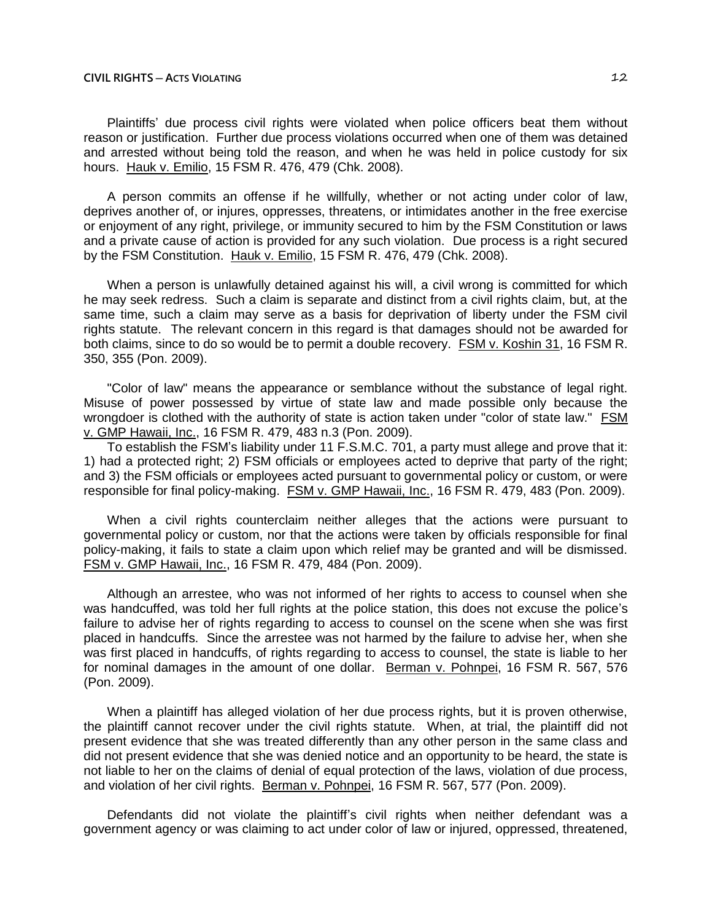Plaintiffs' due process civil rights were violated when police officers beat them without reason or justification. Further due process violations occurred when one of them was detained and arrested without being told the reason, and when he was held in police custody for six hours. Hauk v. Emilio, 15 FSM R. 476, 479 (Chk. 2008).

A person commits an offense if he willfully, whether or not acting under color of law, deprives another of, or injures, oppresses, threatens, or intimidates another in the free exercise or enjoyment of any right, privilege, or immunity secured to him by the FSM Constitution or laws and a private cause of action is provided for any such violation. Due process is a right secured by the FSM Constitution. Hauk v. Emilio, 15 FSM R. 476, 479 (Chk. 2008).

When a person is unlawfully detained against his will, a civil wrong is committed for which he may seek redress. Such a claim is separate and distinct from a civil rights claim, but, at the same time, such a claim may serve as a basis for deprivation of liberty under the FSM civil rights statute. The relevant concern in this regard is that damages should not be awarded for both claims, since to do so would be to permit a double recovery. FSM v. Koshin 31, 16 FSM R. 350, 355 (Pon. 2009).

"Color of law" means the appearance or semblance without the substance of legal right. Misuse of power possessed by virtue of state law and made possible only because the wrongdoer is clothed with the authority of state is action taken under "color of state law." FSM v. GMP Hawaii, Inc., 16 FSM R. 479, 483 n.3 (Pon. 2009).

To establish the FSM's liability under 11 F.S.M.C. 701, a party must allege and prove that it: 1) had a protected right; 2) FSM officials or employees acted to deprive that party of the right; and 3) the FSM officials or employees acted pursuant to governmental policy or custom, or were responsible for final policy-making. FSM v. GMP Hawaii, Inc., 16 FSM R. 479, 483 (Pon. 2009).

When a civil rights counterclaim neither alleges that the actions were pursuant to governmental policy or custom, nor that the actions were taken by officials responsible for final policy-making, it fails to state a claim upon which relief may be granted and will be dismissed. FSM v. GMP Hawaii, Inc., 16 FSM R. 479, 484 (Pon. 2009).

Although an arrestee, who was not informed of her rights to access to counsel when she was handcuffed, was told her full rights at the police station, this does not excuse the police's failure to advise her of rights regarding to access to counsel on the scene when she was first placed in handcuffs. Since the arrestee was not harmed by the failure to advise her, when she was first placed in handcuffs, of rights regarding to access to counsel, the state is liable to her for nominal damages in the amount of one dollar. Berman v. Pohnpei, 16 FSM R. 567, 576 (Pon. 2009).

When a plaintiff has alleged violation of her due process rights, but it is proven otherwise, the plaintiff cannot recover under the civil rights statute. When, at trial, the plaintiff did not present evidence that she was treated differently than any other person in the same class and did not present evidence that she was denied notice and an opportunity to be heard, the state is not liable to her on the claims of denial of equal protection of the laws, violation of due process, and violation of her civil rights. Berman v. Pohnpei, 16 FSM R. 567, 577 (Pon. 2009).

Defendants did not violate the plaintiff's civil rights when neither defendant was a government agency or was claiming to act under color of law or injured, oppressed, threatened,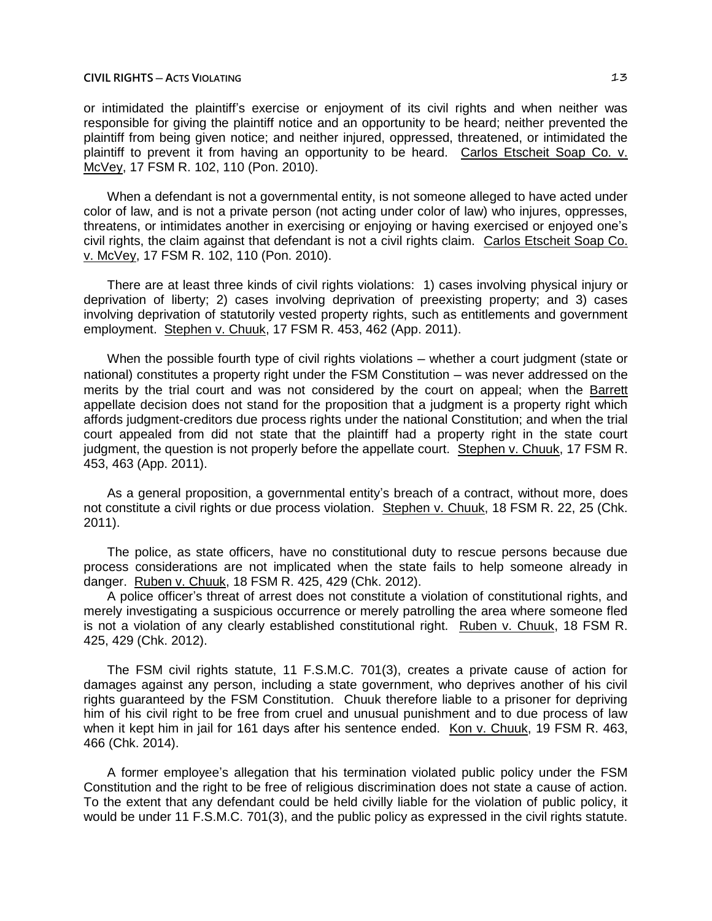or intimidated the plaintiff's exercise or enjoyment of its civil rights and when neither was responsible for giving the plaintiff notice and an opportunity to be heard; neither prevented the plaintiff from being given notice; and neither injured, oppressed, threatened, or intimidated the plaintiff to prevent it from having an opportunity to be heard. Carlos Etscheit Soap Co. v. McVey, 17 FSM R. 102, 110 (Pon. 2010).

When a defendant is not a governmental entity, is not someone alleged to have acted under color of law, and is not a private person (not acting under color of law) who injures, oppresses, threatens, or intimidates another in exercising or enjoying or having exercised or enjoyed one's civil rights, the claim against that defendant is not a civil rights claim. Carlos Etscheit Soap Co. v. McVey, 17 FSM R. 102, 110 (Pon. 2010).

There are at least three kinds of civil rights violations: 1) cases involving physical injury or deprivation of liberty; 2) cases involving deprivation of preexisting property; and 3) cases involving deprivation of statutorily vested property rights, such as entitlements and government employment. Stephen v. Chuuk, 17 FSM R. 453, 462 (App. 2011).

When the possible fourth type of civil rights violations — whether a court judgment (state or national) constitutes a property right under the FSM Constitution – was never addressed on the merits by the trial court and was not considered by the court on appeal; when the Barrett appellate decision does not stand for the proposition that a judgment is a property right which affords judgment-creditors due process rights under the national Constitution; and when the trial court appealed from did not state that the plaintiff had a property right in the state court judgment, the question is not properly before the appellate court. Stephen v. Chuuk, 17 FSM R. 453, 463 (App. 2011).

As a general proposition, a governmental entity's breach of a contract, without more, does not constitute a civil rights or due process violation. Stephen v. Chuuk, 18 FSM R. 22, 25 (Chk. 2011).

The police, as state officers, have no constitutional duty to rescue persons because due process considerations are not implicated when the state fails to help someone already in danger. Ruben v. Chuuk, 18 FSM R. 425, 429 (Chk. 2012).

A police officer's threat of arrest does not constitute a violation of constitutional rights, and merely investigating a suspicious occurrence or merely patrolling the area where someone fled is not a violation of any clearly established constitutional right. Ruben v. Chuuk, 18 FSM R. 425, 429 (Chk. 2012).

The FSM civil rights statute, 11 F.S.M.C. 701(3), creates a private cause of action for damages against any person, including a state government, who deprives another of his civil rights guaranteed by the FSM Constitution. Chuuk therefore liable to a prisoner for depriving him of his civil right to be free from cruel and unusual punishment and to due process of law when it kept him in jail for 161 days after his sentence ended. Kon v. Chuuk, 19 FSM R. 463, 466 (Chk. 2014).

A former employee's allegation that his termination violated public policy under the FSM Constitution and the right to be free of religious discrimination does not state a cause of action. To the extent that any defendant could be held civilly liable for the violation of public policy, it would be under 11 F.S.M.C. 701(3), and the public policy as expressed in the civil rights statute.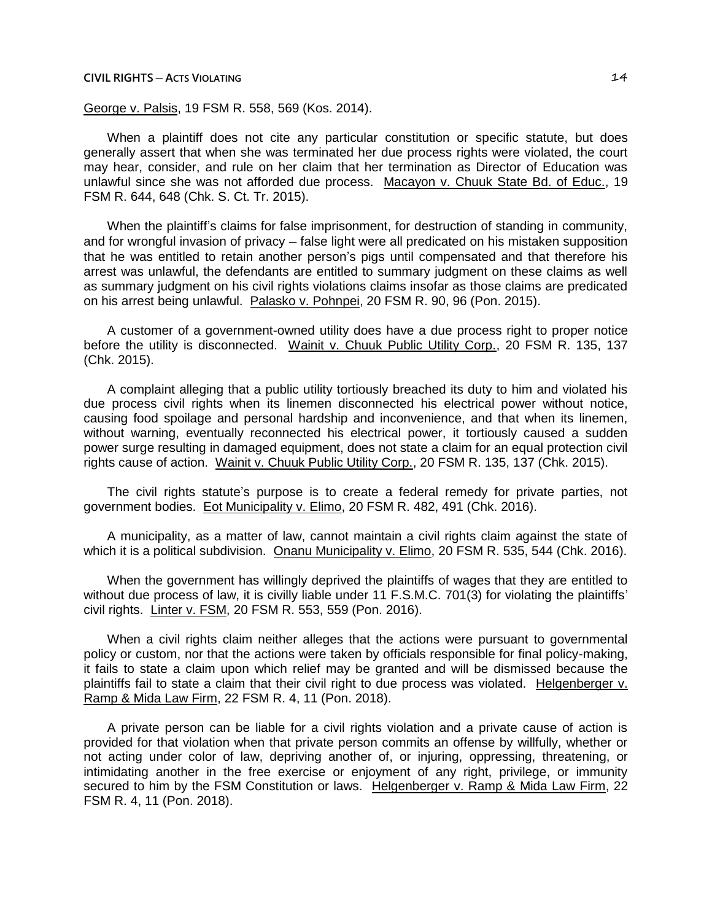## George v. Palsis, 19 FSM R. 558, 569 (Kos. 2014).

When a plaintiff does not cite any particular constitution or specific statute, but does generally assert that when she was terminated her due process rights were violated, the court may hear, consider, and rule on her claim that her termination as Director of Education was unlawful since she was not afforded due process. Macayon v. Chuuk State Bd. of Educ., 19 FSM R. 644, 648 (Chk. S. Ct. Tr. 2015).

When the plaintiff's claims for false imprisonment, for destruction of standing in community, and for wrongful invasion of privacy – false light were all predicated on his mistaken supposition that he was entitled to retain another person's pigs until compensated and that therefore his arrest was unlawful, the defendants are entitled to summary judgment on these claims as well as summary judgment on his civil rights violations claims insofar as those claims are predicated on his arrest being unlawful. Palasko v. Pohnpei, 20 FSM R. 90, 96 (Pon. 2015).

A customer of a government-owned utility does have a due process right to proper notice before the utility is disconnected. Wainit v. Chuuk Public Utility Corp., 20 FSM R. 135, 137 (Chk. 2015).

A complaint alleging that a public utility tortiously breached its duty to him and violated his due process civil rights when its linemen disconnected his electrical power without notice, causing food spoilage and personal hardship and inconvenience, and that when its linemen, without warning, eventually reconnected his electrical power, it tortiously caused a sudden power surge resulting in damaged equipment, does not state a claim for an equal protection civil rights cause of action. Wainit v. Chuuk Public Utility Corp., 20 FSM R. 135, 137 (Chk. 2015).

The civil rights statute's purpose is to create a federal remedy for private parties, not government bodies. Eot Municipality v. Elimo, 20 FSM R. 482, 491 (Chk. 2016).

A municipality, as a matter of law, cannot maintain a civil rights claim against the state of which it is a political subdivision. Onanu Municipality v. Elimo, 20 FSM R. 535, 544 (Chk. 2016).

When the government has willingly deprived the plaintiffs of wages that they are entitled to without due process of law, it is civilly liable under 11 F.S.M.C. 701(3) for violating the plaintiffs' civil rights. Linter v. FSM, 20 FSM R. 553, 559 (Pon. 2016).

When a civil rights claim neither alleges that the actions were pursuant to governmental policy or custom, nor that the actions were taken by officials responsible for final policy-making, it fails to state a claim upon which relief may be granted and will be dismissed because the plaintiffs fail to state a claim that their civil right to due process was violated. Helgenberger v. Ramp & Mida Law Firm, 22 FSM R. 4, 11 (Pon. 2018).

A private person can be liable for a civil rights violation and a private cause of action is provided for that violation when that private person commits an offense by willfully, whether or not acting under color of law, depriving another of, or injuring, oppressing, threatening, or intimidating another in the free exercise or enjoyment of any right, privilege, or immunity secured to him by the FSM Constitution or laws. Helgenberger v. Ramp & Mida Law Firm, 22 FSM R. 4, 11 (Pon. 2018).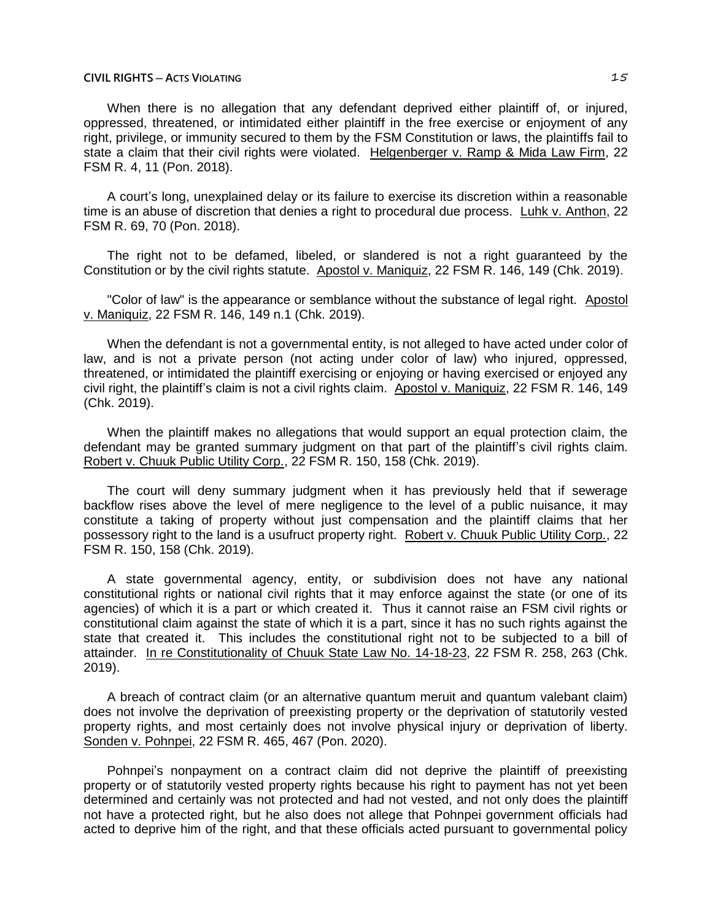When there is no allegation that any defendant deprived either plaintiff of, or injured, oppressed, threatened, or intimidated either plaintiff in the free exercise or enjoyment of any right, privilege, or immunity secured to them by the FSM Constitution or laws, the plaintiffs fail to state a claim that their civil rights were violated. Helgenberger v. Ramp & Mida Law Firm, 22 FSM R. 4, 11 (Pon. 2018).

A court's long, unexplained delay or its failure to exercise its discretion within a reasonable time is an abuse of discretion that denies a right to procedural due process. Luhk v. Anthon, 22 FSM R. 69, 70 (Pon. 2018).

The right not to be defamed, libeled, or slandered is not a right guaranteed by the Constitution or by the civil rights statute. Apostol v. Maniquiz, 22 FSM R. 146, 149 (Chk. 2019).

"Color of law" is the appearance or semblance without the substance of legal right. Apostol v. Maniquiz, 22 FSM R. 146, 149 n.1 (Chk. 2019).

When the defendant is not a governmental entity, is not alleged to have acted under color of law, and is not a private person (not acting under color of law) who injured, oppressed, threatened, or intimidated the plaintiff exercising or enjoying or having exercised or enjoyed any civil right, the plaintiff's claim is not a civil rights claim. Apostol v. Maniquiz, 22 FSM R. 146, 149 (Chk. 2019).

When the plaintiff makes no allegations that would support an equal protection claim, the defendant may be granted summary judgment on that part of the plaintiff's civil rights claim. Robert v. Chuuk Public Utility Corp., 22 FSM R. 150, 158 (Chk. 2019).

The court will deny summary judgment when it has previously held that if sewerage backflow rises above the level of mere negligence to the level of a public nuisance, it may constitute a taking of property without just compensation and the plaintiff claims that her possessory right to the land is a usufruct property right. Robert v. Chuuk Public Utility Corp., 22 FSM R. 150, 158 (Chk. 2019).

A state governmental agency, entity, or subdivision does not have any national constitutional rights or national civil rights that it may enforce against the state (or one of its agencies) of which it is a part or which created it. Thus it cannot raise an FSM civil rights or constitutional claim against the state of which it is a part, since it has no such rights against the state that created it. This includes the constitutional right not to be subjected to a bill of attainder. In re Constitutionality of Chuuk State Law No. 14-18-23, 22 FSM R. 258, 263 (Chk. 2019).

A breach of contract claim (or an alternative quantum meruit and quantum valebant claim) does not involve the deprivation of preexisting property or the deprivation of statutorily vested property rights, and most certainly does not involve physical injury or deprivation of liberty. Sonden v. Pohnpei, 22 FSM R. 465, 467 (Pon. 2020).

Pohnpei's nonpayment on a contract claim did not deprive the plaintiff of preexisting property or of statutorily vested property rights because his right to payment has not yet been determined and certainly was not protected and had not vested, and not only does the plaintiff not have a protected right, but he also does not allege that Pohnpei government officials had acted to deprive him of the right, and that these officials acted pursuant to governmental policy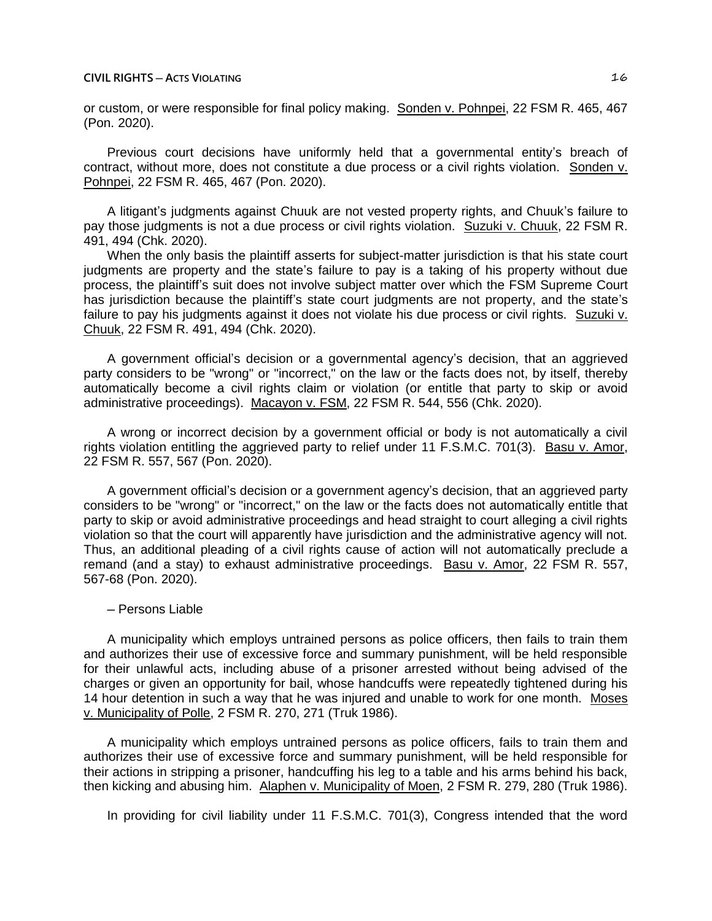or custom, or were responsible for final policy making. Sonden v. Pohnpei, 22 FSM R. 465, 467 (Pon. 2020).

Previous court decisions have uniformly held that a governmental entity's breach of contract, without more, does not constitute a due process or a civil rights violation. Sonden v. Pohnpei, 22 FSM R. 465, 467 (Pon. 2020).

A litigant's judgments against Chuuk are not vested property rights, and Chuuk's failure to pay those judgments is not a due process or civil rights violation. Suzuki v. Chuuk, 22 FSM R. 491, 494 (Chk. 2020).

When the only basis the plaintiff asserts for subject-matter jurisdiction is that his state court judgments are property and the state's failure to pay is a taking of his property without due process, the plaintiff's suit does not involve subject matter over which the FSM Supreme Court has jurisdiction because the plaintiff's state court judgments are not property, and the state's failure to pay his judgments against it does not violate his due process or civil rights. Suzuki v. Chuuk, 22 FSM R. 491, 494 (Chk. 2020).

A government official's decision or a governmental agency's decision, that an aggrieved party considers to be "wrong" or "incorrect," on the law or the facts does not, by itself, thereby automatically become a civil rights claim or violation (or entitle that party to skip or avoid administrative proceedings). Macayon v. FSM, 22 FSM R. 544, 556 (Chk. 2020).

A wrong or incorrect decision by a government official or body is not automatically a civil rights violation entitling the aggrieved party to relief under 11 F.S.M.C. 701(3). Basu v. Amor, 22 FSM R. 557, 567 (Pon. 2020).

A government official's decision or a government agency's decision, that an aggrieved party considers to be "wrong" or "incorrect," on the law or the facts does not automatically entitle that party to skip or avoid administrative proceedings and head straight to court alleging a civil rights violation so that the court will apparently have jurisdiction and the administrative agency will not. Thus, an additional pleading of a civil rights cause of action will not automatically preclude a remand (and a stay) to exhaust administrative proceedings. Basu v. Amor, 22 FSM R. 557, 567-68 (Pon. 2020).

## ─ Persons Liable

A municipality which employs untrained persons as police officers, then fails to train them and authorizes their use of excessive force and summary punishment, will be held responsible for their unlawful acts, including abuse of a prisoner arrested without being advised of the charges or given an opportunity for bail, whose handcuffs were repeatedly tightened during his 14 hour detention in such a way that he was injured and unable to work for one month. Moses v. Municipality of Polle, 2 FSM R. 270, 271 (Truk 1986).

A municipality which employs untrained persons as police officers, fails to train them and authorizes their use of excessive force and summary punishment, will be held responsible for their actions in stripping a prisoner, handcuffing his leg to a table and his arms behind his back, then kicking and abusing him. Alaphen v. Municipality of Moen, 2 FSM R. 279, 280 (Truk 1986).

In providing for civil liability under 11 F.S.M.C. 701(3), Congress intended that the word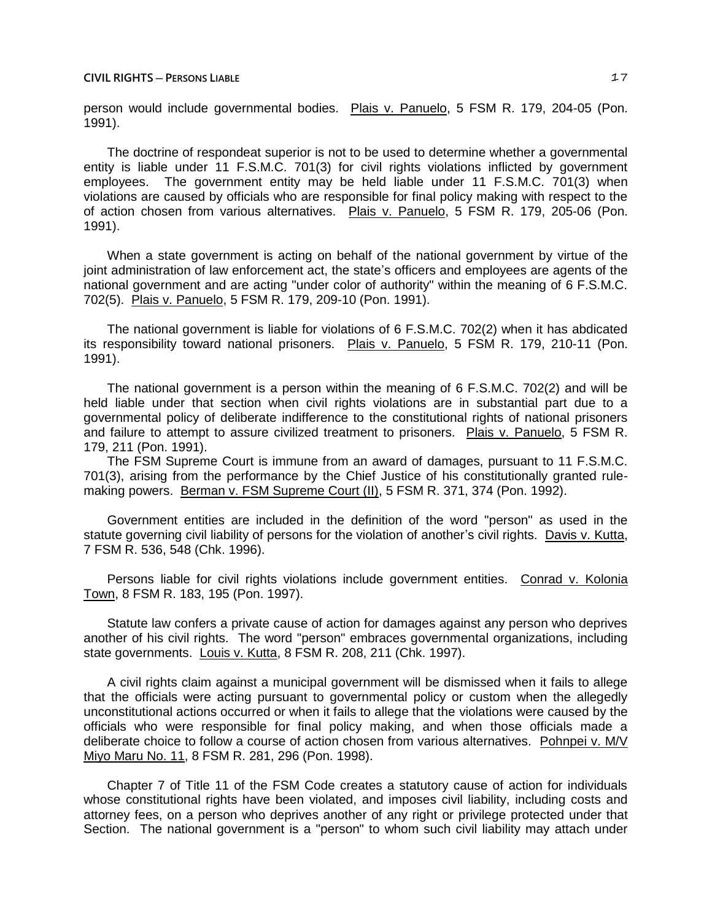person would include governmental bodies. Plais v. Panuelo, 5 FSM R. 179, 204-05 (Pon. 1991).

The doctrine of respondeat superior is not to be used to determine whether a governmental entity is liable under 11 F.S.M.C. 701(3) for civil rights violations inflicted by government employees. The government entity may be held liable under 11 F.S.M.C. 701(3) when violations are caused by officials who are responsible for final policy making with respect to the of action chosen from various alternatives. Plais v. Panuelo, 5 FSM R. 179, 205-06 (Pon. 1991).

When a state government is acting on behalf of the national government by virtue of the joint administration of law enforcement act, the state's officers and employees are agents of the national government and are acting "under color of authority" within the meaning of 6 F.S.M.C. 702(5). Plais v. Panuelo, 5 FSM R. 179, 209-10 (Pon. 1991).

The national government is liable for violations of 6 F.S.M.C. 702(2) when it has abdicated its responsibility toward national prisoners. Plais v. Panuelo, 5 FSM R. 179, 210-11 (Pon. 1991).

The national government is a person within the meaning of 6 F.S.M.C. 702(2) and will be held liable under that section when civil rights violations are in substantial part due to a governmental policy of deliberate indifference to the constitutional rights of national prisoners and failure to attempt to assure civilized treatment to prisoners. Plais v. Panuelo, 5 FSM R. 179, 211 (Pon. 1991).

The FSM Supreme Court is immune from an award of damages, pursuant to 11 F.S.M.C. 701(3), arising from the performance by the Chief Justice of his constitutionally granted rulemaking powers. Berman v. FSM Supreme Court (II), 5 FSM R. 371, 374 (Pon. 1992).

Government entities are included in the definition of the word "person" as used in the statute governing civil liability of persons for the violation of another's civil rights. Davis v. Kutta, 7 FSM R. 536, 548 (Chk. 1996).

Persons liable for civil rights violations include government entities. Conrad v. Kolonia Town, 8 FSM R. 183, 195 (Pon. 1997).

Statute law confers a private cause of action for damages against any person who deprives another of his civil rights. The word "person" embraces governmental organizations, including state governments. Louis v. Kutta, 8 FSM R. 208, 211 (Chk. 1997).

A civil rights claim against a municipal government will be dismissed when it fails to allege that the officials were acting pursuant to governmental policy or custom when the allegedly unconstitutional actions occurred or when it fails to allege that the violations were caused by the officials who were responsible for final policy making, and when those officials made a deliberate choice to follow a course of action chosen from various alternatives. Pohnpei v. M/V Miyo Maru No. 11, 8 FSM R. 281, 296 (Pon. 1998).

Chapter 7 of Title 11 of the FSM Code creates a statutory cause of action for individuals whose constitutional rights have been violated, and imposes civil liability, including costs and attorney fees, on a person who deprives another of any right or privilege protected under that Section. The national government is a "person" to whom such civil liability may attach under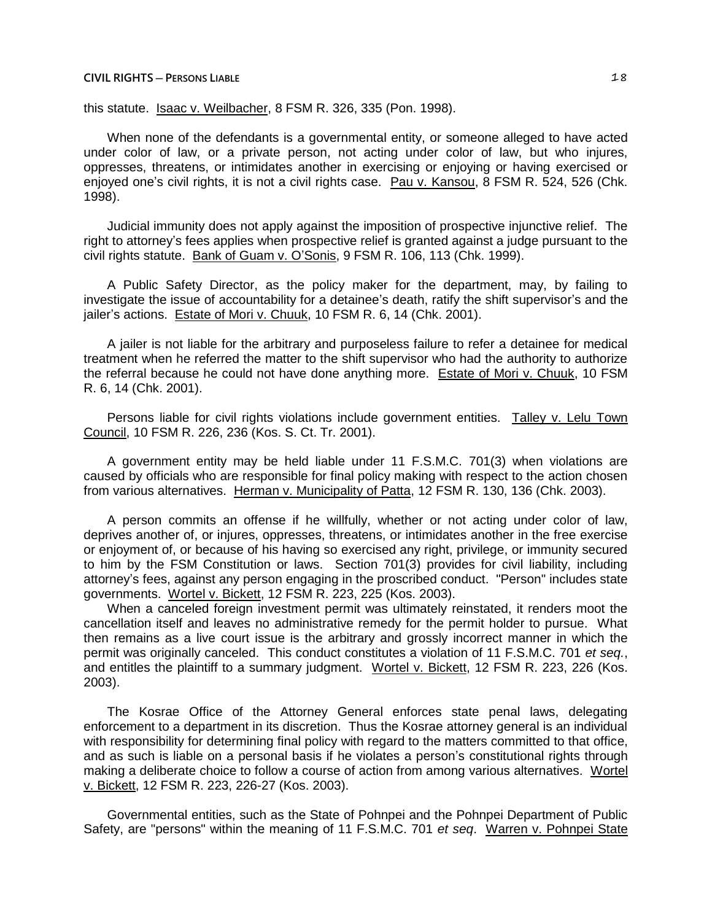this statute. Isaac v. Weilbacher, 8 FSM R. 326, 335 (Pon. 1998).

When none of the defendants is a governmental entity, or someone alleged to have acted under color of law, or a private person, not acting under color of law, but who injures, oppresses, threatens, or intimidates another in exercising or enjoying or having exercised or enjoyed one's civil rights, it is not a civil rights case. Pau v. Kansou, 8 FSM R. 524, 526 (Chk. 1998).

Judicial immunity does not apply against the imposition of prospective injunctive relief. The right to attorney's fees applies when prospective relief is granted against a judge pursuant to the civil rights statute. Bank of Guam v. O'Sonis, 9 FSM R. 106, 113 (Chk. 1999).

A Public Safety Director, as the policy maker for the department, may, by failing to investigate the issue of accountability for a detainee's death, ratify the shift supervisor's and the jailer's actions. Estate of Mori v. Chuuk, 10 FSM R. 6, 14 (Chk. 2001).

A jailer is not liable for the arbitrary and purposeless failure to refer a detainee for medical treatment when he referred the matter to the shift supervisor who had the authority to authorize the referral because he could not have done anything more. Estate of Mori v. Chuuk, 10 FSM R. 6, 14 (Chk. 2001).

Persons liable for civil rights violations include government entities. Talley v. Lelu Town Council, 10 FSM R. 226, 236 (Kos. S. Ct. Tr. 2001).

A government entity may be held liable under 11 F.S.M.C. 701(3) when violations are caused by officials who are responsible for final policy making with respect to the action chosen from various alternatives. Herman v. Municipality of Patta, 12 FSM R. 130, 136 (Chk. 2003).

A person commits an offense if he willfully, whether or not acting under color of law, deprives another of, or injures, oppresses, threatens, or intimidates another in the free exercise or enjoyment of, or because of his having so exercised any right, privilege, or immunity secured to him by the FSM Constitution or laws. Section 701(3) provides for civil liability, including attorney's fees, against any person engaging in the proscribed conduct. "Person" includes state governments. Wortel v. Bickett, 12 FSM R. 223, 225 (Kos. 2003).

When a canceled foreign investment permit was ultimately reinstated, it renders moot the cancellation itself and leaves no administrative remedy for the permit holder to pursue. What then remains as a live court issue is the arbitrary and grossly incorrect manner in which the permit was originally canceled. This conduct constitutes a violation of 11 F.S.M.C. 701 *et seq.*, and entitles the plaintiff to a summary judgment. Wortel v. Bickett, 12 FSM R. 223, 226 (Kos. 2003).

The Kosrae Office of the Attorney General enforces state penal laws, delegating enforcement to a department in its discretion. Thus the Kosrae attorney general is an individual with responsibility for determining final policy with regard to the matters committed to that office, and as such is liable on a personal basis if he violates a person's constitutional rights through making a deliberate choice to follow a course of action from among various alternatives. Wortel v. Bickett, 12 FSM R. 223, 226-27 (Kos. 2003).

Governmental entities, such as the State of Pohnpei and the Pohnpei Department of Public Safety, are "persons" within the meaning of 11 F.S.M.C. 701 *et seq*. Warren v. Pohnpei State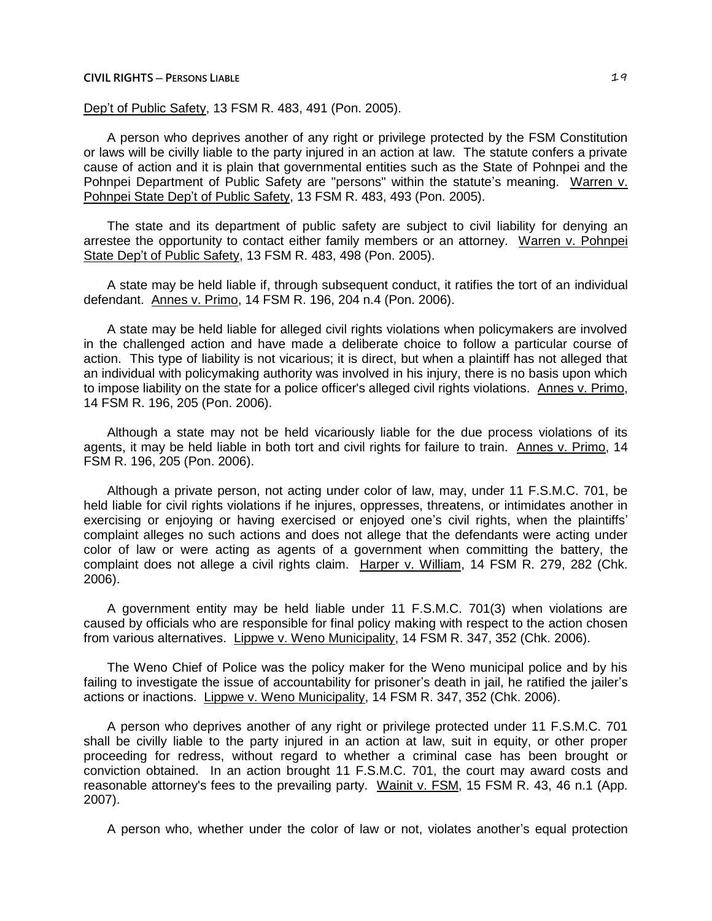Dep't of Public Safety, 13 FSM R. 483, 491 (Pon. 2005).

A person who deprives another of any right or privilege protected by the FSM Constitution or laws will be civilly liable to the party injured in an action at law. The statute confers a private cause of action and it is plain that governmental entities such as the State of Pohnpei and the Pohnpei Department of Public Safety are "persons" within the statute's meaning. Warren v. Pohnpei State Dep't of Public Safety, 13 FSM R. 483, 493 (Pon. 2005).

The state and its department of public safety are subject to civil liability for denying an arrestee the opportunity to contact either family members or an attorney. Warren v. Pohnpei State Dep't of Public Safety, 13 FSM R. 483, 498 (Pon. 2005).

A state may be held liable if, through subsequent conduct, it ratifies the tort of an individual defendant. Annes v. Primo, 14 FSM R. 196, 204 n.4 (Pon. 2006).

A state may be held liable for alleged civil rights violations when policymakers are involved in the challenged action and have made a deliberate choice to follow a particular course of action. This type of liability is not vicarious; it is direct, but when a plaintiff has not alleged that an individual with policymaking authority was involved in his injury, there is no basis upon which to impose liability on the state for a police officer's alleged civil rights violations. Annes v. Primo, 14 FSM R. 196, 205 (Pon. 2006).

Although a state may not be held vicariously liable for the due process violations of its agents, it may be held liable in both tort and civil rights for failure to train. Annes v. Primo, 14 FSM R. 196, 205 (Pon. 2006).

Although a private person, not acting under color of law, may, under 11 F.S.M.C. 701, be held liable for civil rights violations if he injures, oppresses, threatens, or intimidates another in exercising or enjoying or having exercised or enjoyed one's civil rights, when the plaintiffs' complaint alleges no such actions and does not allege that the defendants were acting under color of law or were acting as agents of a government when committing the battery, the complaint does not allege a civil rights claim. Harper v. William, 14 FSM R. 279, 282 (Chk. 2006).

A government entity may be held liable under 11 F.S.M.C. 701(3) when violations are caused by officials who are responsible for final policy making with respect to the action chosen from various alternatives. Lippwe v. Weno Municipality, 14 FSM R. 347, 352 (Chk. 2006).

The Weno Chief of Police was the policy maker for the Weno municipal police and by his failing to investigate the issue of accountability for prisoner's death in jail, he ratified the jailer's actions or inactions. Lippwe v. Weno Municipality, 14 FSM R. 347, 352 (Chk. 2006).

A person who deprives another of any right or privilege protected under 11 F.S.M.C. 701 shall be civilly liable to the party injured in an action at law, suit in equity, or other proper proceeding for redress, without regard to whether a criminal case has been brought or conviction obtained. In an action brought 11 F.S.M.C. 701, the court may award costs and reasonable attorney's fees to the prevailing party. Wainit v. FSM, 15 FSM R. 43, 46 n.1 (App. 2007).

A person who, whether under the color of law or not, violates another's equal protection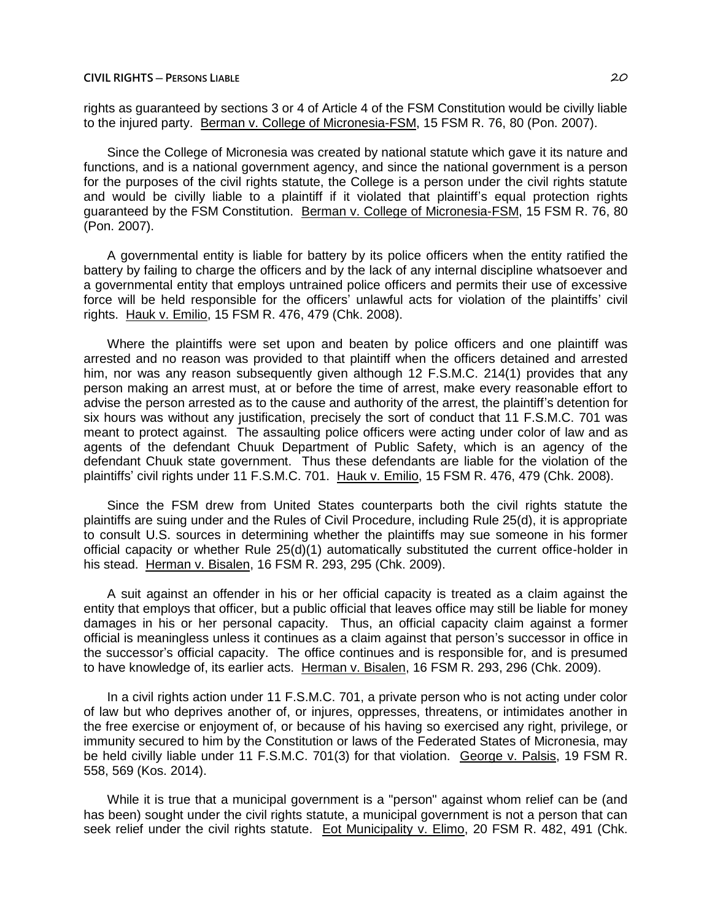rights as guaranteed by sections 3 or 4 of Article 4 of the FSM Constitution would be civilly liable to the injured party. Berman v. College of Micronesia-FSM, 15 FSM R. 76, 80 (Pon. 2007).

Since the College of Micronesia was created by national statute which gave it its nature and functions, and is a national government agency, and since the national government is a person for the purposes of the civil rights statute, the College is a person under the civil rights statute and would be civilly liable to a plaintiff if it violated that plaintiff's equal protection rights guaranteed by the FSM Constitution. Berman v. College of Micronesia-FSM, 15 FSM R. 76, 80 (Pon. 2007).

A governmental entity is liable for battery by its police officers when the entity ratified the battery by failing to charge the officers and by the lack of any internal discipline whatsoever and a governmental entity that employs untrained police officers and permits their use of excessive force will be held responsible for the officers' unlawful acts for violation of the plaintiffs' civil rights. Hauk v. Emilio, 15 FSM R. 476, 479 (Chk. 2008).

Where the plaintiffs were set upon and beaten by police officers and one plaintiff was arrested and no reason was provided to that plaintiff when the officers detained and arrested him, nor was any reason subsequently given although 12 F.S.M.C. 214(1) provides that any person making an arrest must, at or before the time of arrest, make every reasonable effort to advise the person arrested as to the cause and authority of the arrest, the plaintiff's detention for six hours was without any justification, precisely the sort of conduct that 11 F.S.M.C. 701 was meant to protect against. The assaulting police officers were acting under color of law and as agents of the defendant Chuuk Department of Public Safety, which is an agency of the defendant Chuuk state government. Thus these defendants are liable for the violation of the plaintiffs' civil rights under 11 F.S.M.C. 701. Hauk v. Emilio, 15 FSM R. 476, 479 (Chk. 2008).

Since the FSM drew from United States counterparts both the civil rights statute the plaintiffs are suing under and the Rules of Civil Procedure, including Rule 25(d), it is appropriate to consult U.S. sources in determining whether the plaintiffs may sue someone in his former official capacity or whether Rule 25(d)(1) automatically substituted the current office-holder in his stead. Herman v. Bisalen, 16 FSM R. 293, 295 (Chk. 2009).

A suit against an offender in his or her official capacity is treated as a claim against the entity that employs that officer, but a public official that leaves office may still be liable for money damages in his or her personal capacity. Thus, an official capacity claim against a former official is meaningless unless it continues as a claim against that person's successor in office in the successor's official capacity. The office continues and is responsible for, and is presumed to have knowledge of, its earlier acts. Herman v. Bisalen, 16 FSM R. 293, 296 (Chk. 2009).

In a civil rights action under 11 F.S.M.C. 701, a private person who is not acting under color of law but who deprives another of, or injures, oppresses, threatens, or intimidates another in the free exercise or enjoyment of, or because of his having so exercised any right, privilege, or immunity secured to him by the Constitution or laws of the Federated States of Micronesia, may be held civilly liable under 11 F.S.M.C. 701(3) for that violation. George v. Palsis, 19 FSM R. 558, 569 (Kos. 2014).

While it is true that a municipal government is a "person" against whom relief can be (and has been) sought under the civil rights statute, a municipal government is not a person that can seek relief under the civil rights statute. Eot Municipality v. Elimo, 20 FSM R. 482, 491 (Chk.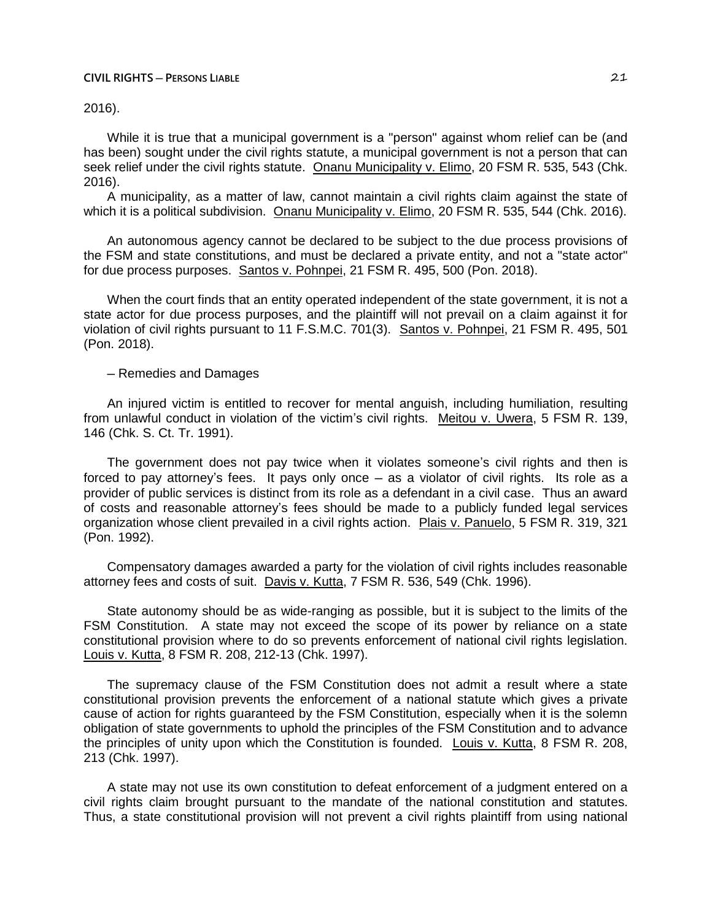2016).

While it is true that a municipal government is a "person" against whom relief can be (and has been) sought under the civil rights statute, a municipal government is not a person that can seek relief under the civil rights statute. Onanu Municipality v. Elimo, 20 FSM R. 535, 543 (Chk. 2016).

A municipality, as a matter of law, cannot maintain a civil rights claim against the state of which it is a political subdivision. Onanu Municipality v. Elimo, 20 FSM R. 535, 544 (Chk. 2016).

An autonomous agency cannot be declared to be subject to the due process provisions of the FSM and state constitutions, and must be declared a private entity, and not a "state actor" for due process purposes. Santos v. Pohnpei, 21 FSM R. 495, 500 (Pon. 2018).

When the court finds that an entity operated independent of the state government, it is not a state actor for due process purposes, and the plaintiff will not prevail on a claim against it for violation of civil rights pursuant to 11 F.S.M.C. 701(3). Santos v. Pohnpei, 21 FSM R. 495, 501 (Pon. 2018).

─ Remedies and Damages

An injured victim is entitled to recover for mental anguish, including humiliation, resulting from unlawful conduct in violation of the victim's civil rights. Meitou v. Uwera, 5 FSM R. 139, 146 (Chk. S. Ct. Tr. 1991).

The government does not pay twice when it violates someone's civil rights and then is forced to pay attorney's fees. It pays only once – as a violator of civil rights. Its role as a provider of public services is distinct from its role as a defendant in a civil case. Thus an award of costs and reasonable attorney's fees should be made to a publicly funded legal services organization whose client prevailed in a civil rights action. Plais v. Panuelo, 5 FSM R. 319, 321 (Pon. 1992).

Compensatory damages awarded a party for the violation of civil rights includes reasonable attorney fees and costs of suit. Davis v. Kutta, 7 FSM R. 536, 549 (Chk. 1996).

State autonomy should be as wide-ranging as possible, but it is subject to the limits of the FSM Constitution. A state may not exceed the scope of its power by reliance on a state constitutional provision where to do so prevents enforcement of national civil rights legislation. Louis v. Kutta, 8 FSM R. 208, 212-13 (Chk. 1997).

The supremacy clause of the FSM Constitution does not admit a result where a state constitutional provision prevents the enforcement of a national statute which gives a private cause of action for rights guaranteed by the FSM Constitution, especially when it is the solemn obligation of state governments to uphold the principles of the FSM Constitution and to advance the principles of unity upon which the Constitution is founded. Louis v. Kutta, 8 FSM R. 208, 213 (Chk. 1997).

A state may not use its own constitution to defeat enforcement of a judgment entered on a civil rights claim brought pursuant to the mandate of the national constitution and statutes. Thus, a state constitutional provision will not prevent a civil rights plaintiff from using national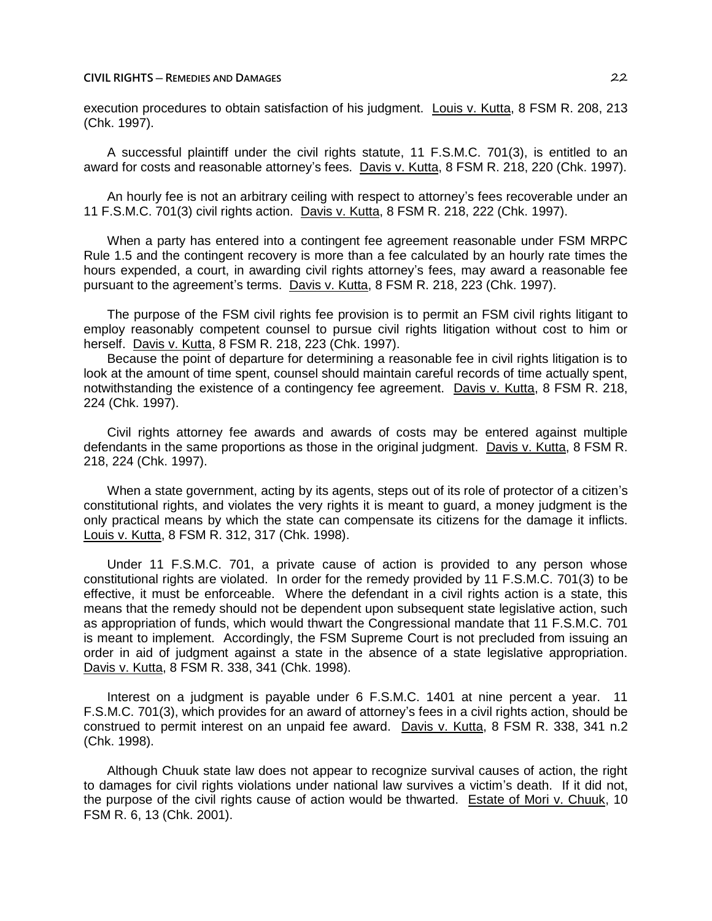execution procedures to obtain satisfaction of his judgment. Louis v. Kutta, 8 FSM R. 208, 213 (Chk. 1997).

A successful plaintiff under the civil rights statute, 11 F.S.M.C. 701(3), is entitled to an award for costs and reasonable attorney's fees. Davis v. Kutta, 8 FSM R. 218, 220 (Chk. 1997).

An hourly fee is not an arbitrary ceiling with respect to attorney's fees recoverable under an 11 F.S.M.C. 701(3) civil rights action. Davis v. Kutta, 8 FSM R. 218, 222 (Chk. 1997).

When a party has entered into a contingent fee agreement reasonable under FSM MRPC Rule 1.5 and the contingent recovery is more than a fee calculated by an hourly rate times the hours expended, a court, in awarding civil rights attorney's fees, may award a reasonable fee pursuant to the agreement's terms. Davis v. Kutta, 8 FSM R. 218, 223 (Chk. 1997).

The purpose of the FSM civil rights fee provision is to permit an FSM civil rights litigant to employ reasonably competent counsel to pursue civil rights litigation without cost to him or herself. Davis v. Kutta, 8 FSM R. 218, 223 (Chk. 1997).

Because the point of departure for determining a reasonable fee in civil rights litigation is to look at the amount of time spent, counsel should maintain careful records of time actually spent, notwithstanding the existence of a contingency fee agreement. Davis v. Kutta, 8 FSM R. 218, 224 (Chk. 1997).

Civil rights attorney fee awards and awards of costs may be entered against multiple defendants in the same proportions as those in the original judgment. Davis v. Kutta, 8 FSM R. 218, 224 (Chk. 1997).

When a state government, acting by its agents, steps out of its role of protector of a citizen's constitutional rights, and violates the very rights it is meant to guard, a money judgment is the only practical means by which the state can compensate its citizens for the damage it inflicts. Louis v. Kutta, 8 FSM R. 312, 317 (Chk. 1998).

Under 11 F.S.M.C. 701, a private cause of action is provided to any person whose constitutional rights are violated. In order for the remedy provided by 11 F.S.M.C. 701(3) to be effective, it must be enforceable. Where the defendant in a civil rights action is a state, this means that the remedy should not be dependent upon subsequent state legislative action, such as appropriation of funds, which would thwart the Congressional mandate that 11 F.S.M.C. 701 is meant to implement. Accordingly, the FSM Supreme Court is not precluded from issuing an order in aid of judgment against a state in the absence of a state legislative appropriation. Davis v. Kutta, 8 FSM R. 338, 341 (Chk. 1998).

Interest on a judgment is payable under 6 F.S.M.C. 1401 at nine percent a year. 11 F.S.M.C. 701(3), which provides for an award of attorney's fees in a civil rights action, should be construed to permit interest on an unpaid fee award. Davis v. Kutta, 8 FSM R. 338, 341 n.2 (Chk. 1998).

Although Chuuk state law does not appear to recognize survival causes of action, the right to damages for civil rights violations under national law survives a victim's death. If it did not, the purpose of the civil rights cause of action would be thwarted. Estate of Mori v. Chuuk, 10 FSM R. 6, 13 (Chk. 2001).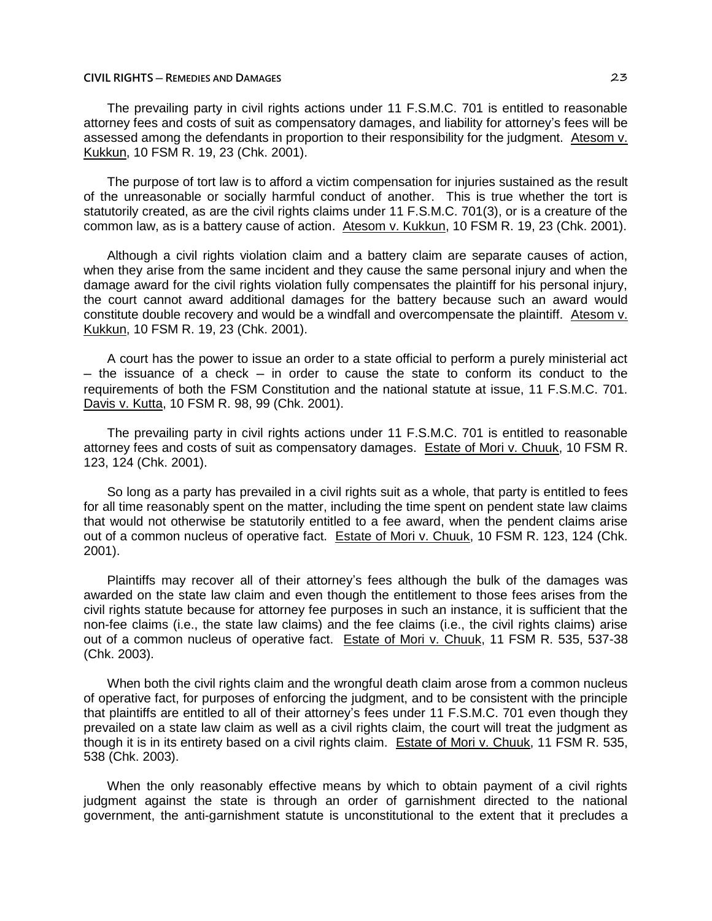The prevailing party in civil rights actions under 11 F.S.M.C. 701 is entitled to reasonable attorney fees and costs of suit as compensatory damages, and liability for attorney's fees will be assessed among the defendants in proportion to their responsibility for the judgment. Atesom v. Kukkun, 10 FSM R. 19, 23 (Chk. 2001).

The purpose of tort law is to afford a victim compensation for injuries sustained as the result of the unreasonable or socially harmful conduct of another. This is true whether the tort is statutorily created, as are the civil rights claims under 11 F.S.M.C. 701(3), or is a creature of the common law, as is a battery cause of action. Atesom v. Kukkun, 10 FSM R. 19, 23 (Chk. 2001).

Although a civil rights violation claim and a battery claim are separate causes of action, when they arise from the same incident and they cause the same personal injury and when the damage award for the civil rights violation fully compensates the plaintiff for his personal injury, the court cannot award additional damages for the battery because such an award would constitute double recovery and would be a windfall and overcompensate the plaintiff. Atesom v. Kukkun, 10 FSM R. 19, 23 (Chk. 2001).

A court has the power to issue an order to a state official to perform a purely ministerial act ─ the issuance of a check ─ in order to cause the state to conform its conduct to the requirements of both the FSM Constitution and the national statute at issue, 11 F.S.M.C. 701. Davis v. Kutta, 10 FSM R. 98, 99 (Chk. 2001).

The prevailing party in civil rights actions under 11 F.S.M.C. 701 is entitled to reasonable attorney fees and costs of suit as compensatory damages. Estate of Mori v. Chuuk, 10 FSM R. 123, 124 (Chk. 2001).

So long as a party has prevailed in a civil rights suit as a whole, that party is entitled to fees for all time reasonably spent on the matter, including the time spent on pendent state law claims that would not otherwise be statutorily entitled to a fee award, when the pendent claims arise out of a common nucleus of operative fact. Estate of Mori v. Chuuk, 10 FSM R. 123, 124 (Chk. 2001).

Plaintiffs may recover all of their attorney's fees although the bulk of the damages was awarded on the state law claim and even though the entitlement to those fees arises from the civil rights statute because for attorney fee purposes in such an instance, it is sufficient that the non-fee claims (i.e., the state law claims) and the fee claims (i.e., the civil rights claims) arise out of a common nucleus of operative fact. Estate of Mori v. Chuuk, 11 FSM R. 535, 537-38 (Chk. 2003).

When both the civil rights claim and the wrongful death claim arose from a common nucleus of operative fact, for purposes of enforcing the judgment, and to be consistent with the principle that plaintiffs are entitled to all of their attorney's fees under 11 F.S.M.C. 701 even though they prevailed on a state law claim as well as a civil rights claim, the court will treat the judgment as though it is in its entirety based on a civil rights claim. Estate of Mori v. Chuuk, 11 FSM R. 535, 538 (Chk. 2003).

When the only reasonably effective means by which to obtain payment of a civil rights judgment against the state is through an order of garnishment directed to the national government, the anti-garnishment statute is unconstitutional to the extent that it precludes a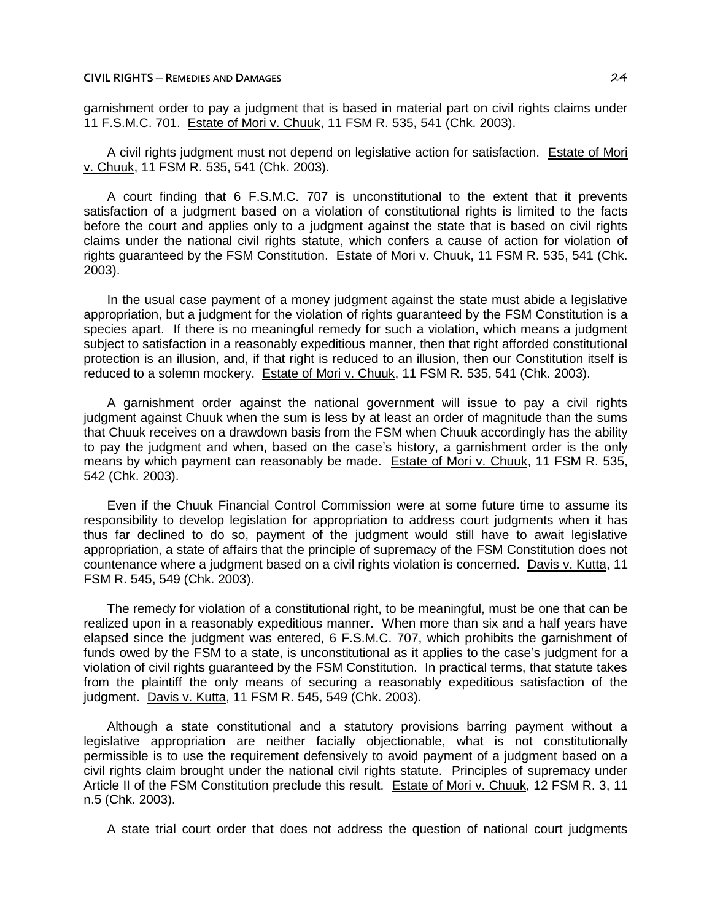garnishment order to pay a judgment that is based in material part on civil rights claims under 11 F.S.M.C. 701. Estate of Mori v. Chuuk, 11 FSM R. 535, 541 (Chk. 2003).

A civil rights judgment must not depend on legislative action for satisfaction. Estate of Mori v. Chuuk, 11 FSM R. 535, 541 (Chk. 2003).

A court finding that 6 F.S.M.C. 707 is unconstitutional to the extent that it prevents satisfaction of a judgment based on a violation of constitutional rights is limited to the facts before the court and applies only to a judgment against the state that is based on civil rights claims under the national civil rights statute, which confers a cause of action for violation of rights guaranteed by the FSM Constitution. Estate of Mori v. Chuuk, 11 FSM R. 535, 541 (Chk. 2003).

In the usual case payment of a money judgment against the state must abide a legislative appropriation, but a judgment for the violation of rights guaranteed by the FSM Constitution is a species apart. If there is no meaningful remedy for such a violation, which means a judgment subject to satisfaction in a reasonably expeditious manner, then that right afforded constitutional protection is an illusion, and, if that right is reduced to an illusion, then our Constitution itself is reduced to a solemn mockery. Estate of Mori v. Chuuk, 11 FSM R. 535, 541 (Chk. 2003).

A garnishment order against the national government will issue to pay a civil rights judgment against Chuuk when the sum is less by at least an order of magnitude than the sums that Chuuk receives on a drawdown basis from the FSM when Chuuk accordingly has the ability to pay the judgment and when, based on the case's history, a garnishment order is the only means by which payment can reasonably be made. Estate of Mori v. Chuuk, 11 FSM R. 535, 542 (Chk. 2003).

Even if the Chuuk Financial Control Commission were at some future time to assume its responsibility to develop legislation for appropriation to address court judgments when it has thus far declined to do so, payment of the judgment would still have to await legislative appropriation, a state of affairs that the principle of supremacy of the FSM Constitution does not countenance where a judgment based on a civil rights violation is concerned. Davis v. Kutta, 11 FSM R. 545, 549 (Chk. 2003).

The remedy for violation of a constitutional right, to be meaningful, must be one that can be realized upon in a reasonably expeditious manner. When more than six and a half years have elapsed since the judgment was entered, 6 F.S.M.C. 707, which prohibits the garnishment of funds owed by the FSM to a state, is unconstitutional as it applies to the case's judgment for a violation of civil rights guaranteed by the FSM Constitution. In practical terms, that statute takes from the plaintiff the only means of securing a reasonably expeditious satisfaction of the judgment. Davis v. Kutta, 11 FSM R. 545, 549 (Chk. 2003).

Although a state constitutional and a statutory provisions barring payment without a legislative appropriation are neither facially objectionable, what is not constitutionally permissible is to use the requirement defensively to avoid payment of a judgment based on a civil rights claim brought under the national civil rights statute. Principles of supremacy under Article II of the FSM Constitution preclude this result. Estate of Mori v. Chuuk, 12 FSM R. 3, 11 n.5 (Chk. 2003).

A state trial court order that does not address the question of national court judgments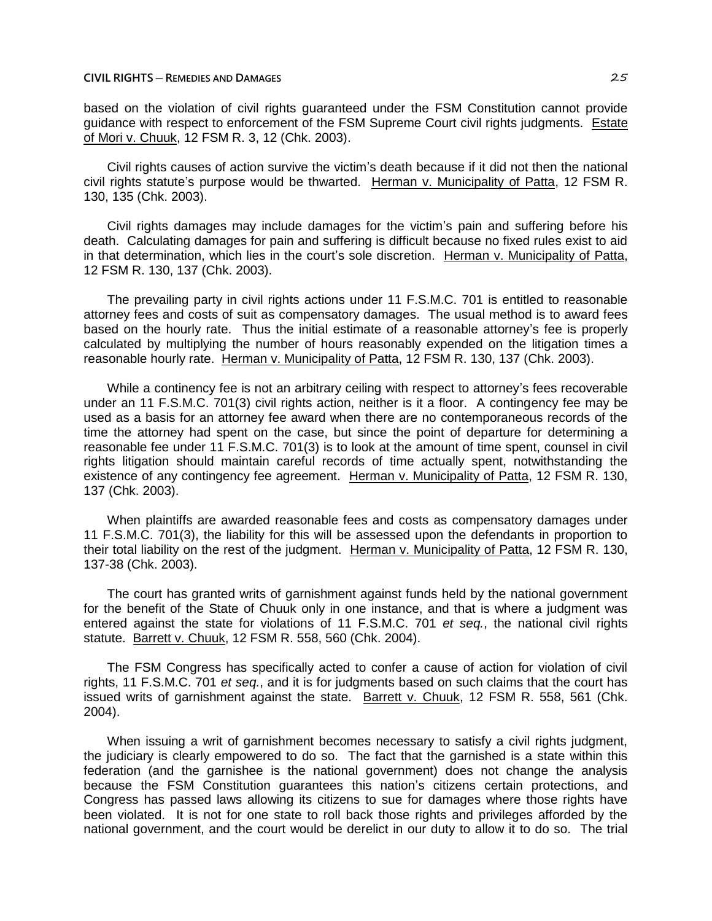based on the violation of civil rights guaranteed under the FSM Constitution cannot provide guidance with respect to enforcement of the FSM Supreme Court civil rights judgments. Estate of Mori v. Chuuk, 12 FSM R. 3, 12 (Chk. 2003).

Civil rights causes of action survive the victim's death because if it did not then the national civil rights statute's purpose would be thwarted. Herman v. Municipality of Patta, 12 FSM R. 130, 135 (Chk. 2003).

Civil rights damages may include damages for the victim's pain and suffering before his death. Calculating damages for pain and suffering is difficult because no fixed rules exist to aid in that determination, which lies in the court's sole discretion. Herman v. Municipality of Patta, 12 FSM R. 130, 137 (Chk. 2003).

The prevailing party in civil rights actions under 11 F.S.M.C. 701 is entitled to reasonable attorney fees and costs of suit as compensatory damages. The usual method is to award fees based on the hourly rate. Thus the initial estimate of a reasonable attorney's fee is properly calculated by multiplying the number of hours reasonably expended on the litigation times a reasonable hourly rate. Herman v. Municipality of Patta, 12 FSM R. 130, 137 (Chk. 2003).

While a continency fee is not an arbitrary ceiling with respect to attorney's fees recoverable under an 11 F.S.M.C. 701(3) civil rights action, neither is it a floor. A contingency fee may be used as a basis for an attorney fee award when there are no contemporaneous records of the time the attorney had spent on the case, but since the point of departure for determining a reasonable fee under 11 F.S.M.C. 701(3) is to look at the amount of time spent, counsel in civil rights litigation should maintain careful records of time actually spent, notwithstanding the existence of any contingency fee agreement. Herman v. Municipality of Patta, 12 FSM R. 130, 137 (Chk. 2003).

When plaintiffs are awarded reasonable fees and costs as compensatory damages under 11 F.S.M.C. 701(3), the liability for this will be assessed upon the defendants in proportion to their total liability on the rest of the judgment. Herman v. Municipality of Patta, 12 FSM R. 130, 137-38 (Chk. 2003).

The court has granted writs of garnishment against funds held by the national government for the benefit of the State of Chuuk only in one instance, and that is where a judgment was entered against the state for violations of 11 F.S.M.C. 701 *et seq.*, the national civil rights statute. Barrett v. Chuuk, 12 FSM R. 558, 560 (Chk. 2004).

The FSM Congress has specifically acted to confer a cause of action for violation of civil rights, 11 F.S.M.C. 701 *et seq.*, and it is for judgments based on such claims that the court has issued writs of garnishment against the state. Barrett v. Chuuk, 12 FSM R. 558, 561 (Chk. 2004).

When issuing a writ of garnishment becomes necessary to satisfy a civil rights judgment, the judiciary is clearly empowered to do so. The fact that the garnished is a state within this federation (and the garnishee is the national government) does not change the analysis because the FSM Constitution guarantees this nation's citizens certain protections, and Congress has passed laws allowing its citizens to sue for damages where those rights have been violated. It is not for one state to roll back those rights and privileges afforded by the national government, and the court would be derelict in our duty to allow it to do so. The trial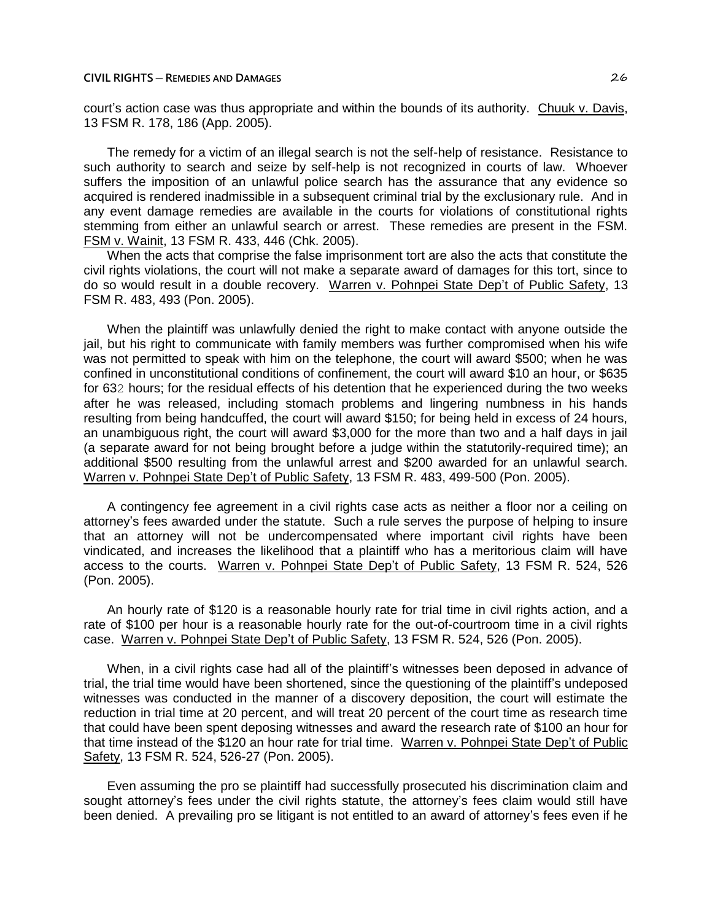court's action case was thus appropriate and within the bounds of its authority. Chuuk v. Davis, 13 FSM R. 178, 186 (App. 2005).

The remedy for a victim of an illegal search is not the self-help of resistance. Resistance to such authority to search and seize by self-help is not recognized in courts of law. Whoever suffers the imposition of an unlawful police search has the assurance that any evidence so acquired is rendered inadmissible in a subsequent criminal trial by the exclusionary rule. And in any event damage remedies are available in the courts for violations of constitutional rights stemming from either an unlawful search or arrest. These remedies are present in the FSM. FSM v. Wainit, 13 FSM R. 433, 446 (Chk. 2005).

When the acts that comprise the false imprisonment tort are also the acts that constitute the civil rights violations, the court will not make a separate award of damages for this tort, since to do so would result in a double recovery. Warren v. Pohnpei State Dep't of Public Safety, 13 FSM R. 483, 493 (Pon. 2005).

When the plaintiff was unlawfully denied the right to make contact with anyone outside the jail, but his right to communicate with family members was further compromised when his wife was not permitted to speak with him on the telephone, the court will award \$500; when he was confined in unconstitutional conditions of confinement, the court will award \$10 an hour, or \$635 for 632 hours; for the residual effects of his detention that he experienced during the two weeks after he was released, including stomach problems and lingering numbness in his hands resulting from being handcuffed, the court will award \$150; for being held in excess of 24 hours, an unambiguous right, the court will award \$3,000 for the more than two and a half days in jail (a separate award for not being brought before a judge within the statutorily-required time); an additional \$500 resulting from the unlawful arrest and \$200 awarded for an unlawful search. Warren v. Pohnpei State Dep't of Public Safety, 13 FSM R. 483, 499-500 (Pon. 2005).

A contingency fee agreement in a civil rights case acts as neither a floor nor a ceiling on attorney's fees awarded under the statute. Such a rule serves the purpose of helping to insure that an attorney will not be undercompensated where important civil rights have been vindicated, and increases the likelihood that a plaintiff who has a meritorious claim will have access to the courts. Warren v. Pohnpei State Dep't of Public Safety, 13 FSM R. 524, 526 (Pon. 2005).

An hourly rate of \$120 is a reasonable hourly rate for trial time in civil rights action, and a rate of \$100 per hour is a reasonable hourly rate for the out-of-courtroom time in a civil rights case. Warren v. Pohnpei State Dep't of Public Safety, 13 FSM R. 524, 526 (Pon. 2005).

When, in a civil rights case had all of the plaintiff's witnesses been deposed in advance of trial, the trial time would have been shortened, since the questioning of the plaintiff's undeposed witnesses was conducted in the manner of a discovery deposition, the court will estimate the reduction in trial time at 20 percent, and will treat 20 percent of the court time as research time that could have been spent deposing witnesses and award the research rate of \$100 an hour for that time instead of the \$120 an hour rate for trial time. Warren v. Pohnpei State Dep't of Public Safety, 13 FSM R. 524, 526-27 (Pon. 2005).

Even assuming the pro se plaintiff had successfully prosecuted his discrimination claim and sought attorney's fees under the civil rights statute, the attorney's fees claim would still have been denied. A prevailing pro se litigant is not entitled to an award of attorney's fees even if he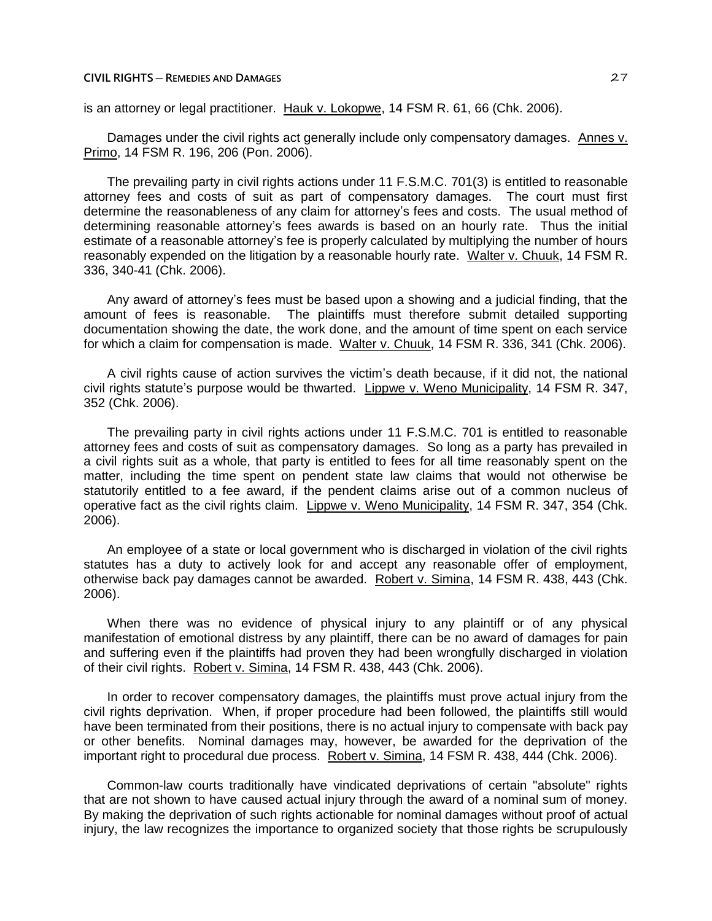is an attorney or legal practitioner. Hauk v. Lokopwe, 14 FSM R. 61, 66 (Chk. 2006).

Damages under the civil rights act generally include only compensatory damages. Annes v. Primo, 14 FSM R. 196, 206 (Pon. 2006).

The prevailing party in civil rights actions under 11 F.S.M.C. 701(3) is entitled to reasonable attorney fees and costs of suit as part of compensatory damages. The court must first determine the reasonableness of any claim for attorney's fees and costs. The usual method of determining reasonable attorney's fees awards is based on an hourly rate. Thus the initial estimate of a reasonable attorney's fee is properly calculated by multiplying the number of hours reasonably expended on the litigation by a reasonable hourly rate. Walter v. Chuuk, 14 FSM R. 336, 340-41 (Chk. 2006).

Any award of attorney's fees must be based upon a showing and a judicial finding, that the amount of fees is reasonable. The plaintiffs must therefore submit detailed supporting documentation showing the date, the work done, and the amount of time spent on each service for which a claim for compensation is made. Walter v. Chuuk, 14 FSM R. 336, 341 (Chk. 2006).

A civil rights cause of action survives the victim's death because, if it did not, the national civil rights statute's purpose would be thwarted. Lippwe v. Weno Municipality, 14 FSM R. 347, 352 (Chk. 2006).

The prevailing party in civil rights actions under 11 F.S.M.C. 701 is entitled to reasonable attorney fees and costs of suit as compensatory damages. So long as a party has prevailed in a civil rights suit as a whole, that party is entitled to fees for all time reasonably spent on the matter, including the time spent on pendent state law claims that would not otherwise be statutorily entitled to a fee award, if the pendent claims arise out of a common nucleus of operative fact as the civil rights claim. Lippwe v. Weno Municipality, 14 FSM R. 347, 354 (Chk. 2006).

An employee of a state or local government who is discharged in violation of the civil rights statutes has a duty to actively look for and accept any reasonable offer of employment, otherwise back pay damages cannot be awarded. Robert v. Simina, 14 FSM R. 438, 443 (Chk. 2006).

When there was no evidence of physical injury to any plaintiff or of any physical manifestation of emotional distress by any plaintiff, there can be no award of damages for pain and suffering even if the plaintiffs had proven they had been wrongfully discharged in violation of their civil rights. Robert v. Simina, 14 FSM R. 438, 443 (Chk. 2006).

In order to recover compensatory damages, the plaintiffs must prove actual injury from the civil rights deprivation. When, if proper procedure had been followed, the plaintiffs still would have been terminated from their positions, there is no actual injury to compensate with back pay or other benefits. Nominal damages may, however, be awarded for the deprivation of the important right to procedural due process. Robert v. Simina, 14 FSM R. 438, 444 (Chk. 2006).

Common-law courts traditionally have vindicated deprivations of certain "absolute" rights that are not shown to have caused actual injury through the award of a nominal sum of money. By making the deprivation of such rights actionable for nominal damages without proof of actual injury, the law recognizes the importance to organized society that those rights be scrupulously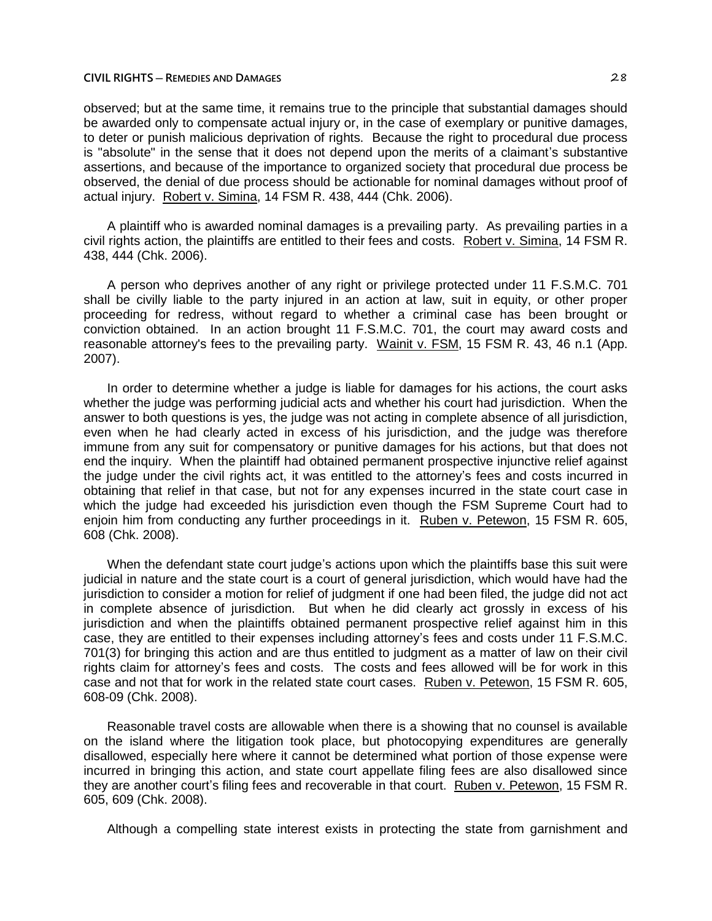observed; but at the same time, it remains true to the principle that substantial damages should be awarded only to compensate actual injury or, in the case of exemplary or punitive damages, to deter or punish malicious deprivation of rights. Because the right to procedural due process is "absolute" in the sense that it does not depend upon the merits of a claimant's substantive assertions, and because of the importance to organized society that procedural due process be observed, the denial of due process should be actionable for nominal damages without proof of actual injury. Robert v. Simina, 14 FSM R. 438, 444 (Chk. 2006).

A plaintiff who is awarded nominal damages is a prevailing party. As prevailing parties in a civil rights action, the plaintiffs are entitled to their fees and costs. Robert v. Simina, 14 FSM R. 438, 444 (Chk. 2006).

A person who deprives another of any right or privilege protected under 11 F.S.M.C. 701 shall be civilly liable to the party injured in an action at law, suit in equity, or other proper proceeding for redress, without regard to whether a criminal case has been brought or conviction obtained. In an action brought 11 F.S.M.C. 701, the court may award costs and reasonable attorney's fees to the prevailing party. Wainit v. FSM, 15 FSM R. 43, 46 n.1 (App. 2007).

In order to determine whether a judge is liable for damages for his actions, the court asks whether the judge was performing judicial acts and whether his court had jurisdiction. When the answer to both questions is yes, the judge was not acting in complete absence of all jurisdiction, even when he had clearly acted in excess of his jurisdiction, and the judge was therefore immune from any suit for compensatory or punitive damages for his actions, but that does not end the inquiry. When the plaintiff had obtained permanent prospective injunctive relief against the judge under the civil rights act, it was entitled to the attorney's fees and costs incurred in obtaining that relief in that case, but not for any expenses incurred in the state court case in which the judge had exceeded his jurisdiction even though the FSM Supreme Court had to enjoin him from conducting any further proceedings in it. Ruben v. Petewon, 15 FSM R. 605, 608 (Chk. 2008).

When the defendant state court judge's actions upon which the plaintiffs base this suit were judicial in nature and the state court is a court of general jurisdiction, which would have had the jurisdiction to consider a motion for relief of judgment if one had been filed, the judge did not act in complete absence of jurisdiction. But when he did clearly act grossly in excess of his jurisdiction and when the plaintiffs obtained permanent prospective relief against him in this case, they are entitled to their expenses including attorney's fees and costs under 11 F.S.M.C. 701(3) for bringing this action and are thus entitled to judgment as a matter of law on their civil rights claim for attorney's fees and costs. The costs and fees allowed will be for work in this case and not that for work in the related state court cases. Ruben v. Petewon, 15 FSM R. 605, 608-09 (Chk. 2008).

Reasonable travel costs are allowable when there is a showing that no counsel is available on the island where the litigation took place, but photocopying expenditures are generally disallowed, especially here where it cannot be determined what portion of those expense were incurred in bringing this action, and state court appellate filing fees are also disallowed since they are another court's filing fees and recoverable in that court. Ruben v. Petewon, 15 FSM R. 605, 609 (Chk. 2008).

Although a compelling state interest exists in protecting the state from garnishment and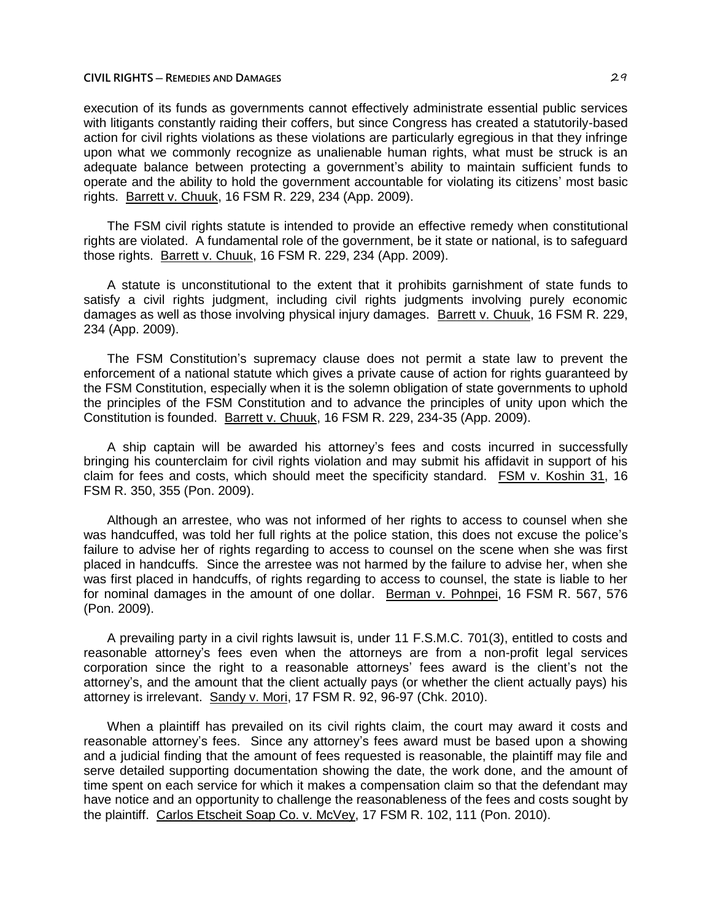execution of its funds as governments cannot effectively administrate essential public services with litigants constantly raiding their coffers, but since Congress has created a statutorily-based action for civil rights violations as these violations are particularly egregious in that they infringe upon what we commonly recognize as unalienable human rights, what must be struck is an adequate balance between protecting a government's ability to maintain sufficient funds to operate and the ability to hold the government accountable for violating its citizens' most basic rights. Barrett v. Chuuk, 16 FSM R. 229, 234 (App. 2009).

The FSM civil rights statute is intended to provide an effective remedy when constitutional rights are violated. A fundamental role of the government, be it state or national, is to safeguard those rights. Barrett v. Chuuk, 16 FSM R. 229, 234 (App. 2009).

A statute is unconstitutional to the extent that it prohibits garnishment of state funds to satisfy a civil rights judgment, including civil rights judgments involving purely economic damages as well as those involving physical injury damages. Barrett v. Chuuk, 16 FSM R. 229, 234 (App. 2009).

The FSM Constitution's supremacy clause does not permit a state law to prevent the enforcement of a national statute which gives a private cause of action for rights guaranteed by the FSM Constitution, especially when it is the solemn obligation of state governments to uphold the principles of the FSM Constitution and to advance the principles of unity upon which the Constitution is founded. Barrett v. Chuuk, 16 FSM R. 229, 234-35 (App. 2009).

A ship captain will be awarded his attorney's fees and costs incurred in successfully bringing his counterclaim for civil rights violation and may submit his affidavit in support of his claim for fees and costs, which should meet the specificity standard. FSM v. Koshin 31, 16 FSM R. 350, 355 (Pon. 2009).

Although an arrestee, who was not informed of her rights to access to counsel when she was handcuffed, was told her full rights at the police station, this does not excuse the police's failure to advise her of rights regarding to access to counsel on the scene when she was first placed in handcuffs. Since the arrestee was not harmed by the failure to advise her, when she was first placed in handcuffs, of rights regarding to access to counsel, the state is liable to her for nominal damages in the amount of one dollar. Berman v. Pohnpei, 16 FSM R. 567, 576 (Pon. 2009).

A prevailing party in a civil rights lawsuit is, under 11 F.S.M.C. 701(3), entitled to costs and reasonable attorney's fees even when the attorneys are from a non-profit legal services corporation since the right to a reasonable attorneys' fees award is the client's not the attorney's, and the amount that the client actually pays (or whether the client actually pays) his attorney is irrelevant. Sandy v. Mori, 17 FSM R. 92, 96-97 (Chk. 2010).

When a plaintiff has prevailed on its civil rights claim, the court may award it costs and reasonable attorney's fees. Since any attorney's fees award must be based upon a showing and a judicial finding that the amount of fees requested is reasonable, the plaintiff may file and serve detailed supporting documentation showing the date, the work done, and the amount of time spent on each service for which it makes a compensation claim so that the defendant may have notice and an opportunity to challenge the reasonableness of the fees and costs sought by the plaintiff. Carlos Etscheit Soap Co. v. McVey, 17 FSM R. 102, 111 (Pon. 2010).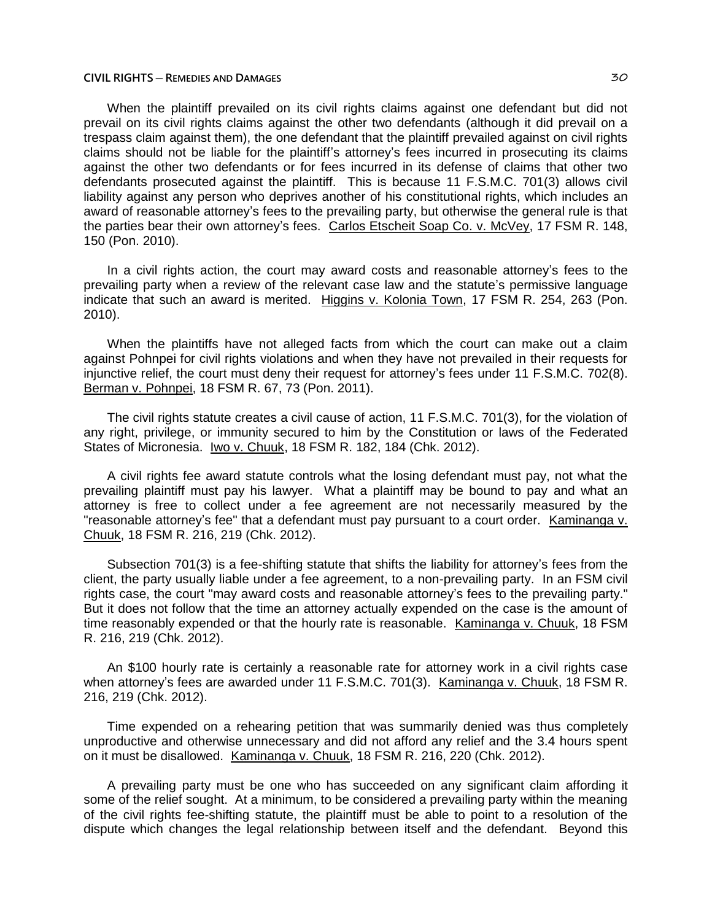When the plaintiff prevailed on its civil rights claims against one defendant but did not prevail on its civil rights claims against the other two defendants (although it did prevail on a trespass claim against them), the one defendant that the plaintiff prevailed against on civil rights claims should not be liable for the plaintiff's attorney's fees incurred in prosecuting its claims against the other two defendants or for fees incurred in its defense of claims that other two defendants prosecuted against the plaintiff. This is because 11 F.S.M.C. 701(3) allows civil liability against any person who deprives another of his constitutional rights, which includes an award of reasonable attorney's fees to the prevailing party, but otherwise the general rule is that the parties bear their own attorney's fees. Carlos Etscheit Soap Co. v. McVey, 17 FSM R. 148, 150 (Pon. 2010).

In a civil rights action, the court may award costs and reasonable attorney's fees to the prevailing party when a review of the relevant case law and the statute's permissive language indicate that such an award is merited. Higgins v. Kolonia Town, 17 FSM R. 254, 263 (Pon. 2010).

When the plaintiffs have not alleged facts from which the court can make out a claim against Pohnpei for civil rights violations and when they have not prevailed in their requests for injunctive relief, the court must deny their request for attorney's fees under 11 F.S.M.C. 702(8). Berman v. Pohnpei, 18 FSM R. 67, 73 (Pon. 2011).

The civil rights statute creates a civil cause of action, 11 F.S.M.C. 701(3), for the violation of any right, privilege, or immunity secured to him by the Constitution or laws of the Federated States of Micronesia. Iwo v. Chuuk, 18 FSM R. 182, 184 (Chk. 2012).

A civil rights fee award statute controls what the losing defendant must pay, not what the prevailing plaintiff must pay his lawyer. What a plaintiff may be bound to pay and what an attorney is free to collect under a fee agreement are not necessarily measured by the "reasonable attorney's fee" that a defendant must pay pursuant to a court order. Kaminanga v. Chuuk, 18 FSM R. 216, 219 (Chk. 2012).

Subsection 701(3) is a fee-shifting statute that shifts the liability for attorney's fees from the client, the party usually liable under a fee agreement, to a non-prevailing party. In an FSM civil rights case, the court "may award costs and reasonable attorney's fees to the prevailing party." But it does not follow that the time an attorney actually expended on the case is the amount of time reasonably expended or that the hourly rate is reasonable. Kaminanga v. Chuuk, 18 FSM R. 216, 219 (Chk. 2012).

An \$100 hourly rate is certainly a reasonable rate for attorney work in a civil rights case when attorney's fees are awarded under 11 F.S.M.C. 701(3). Kaminanga v. Chuuk, 18 FSM R. 216, 219 (Chk. 2012).

Time expended on a rehearing petition that was summarily denied was thus completely unproductive and otherwise unnecessary and did not afford any relief and the 3.4 hours spent on it must be disallowed. Kaminanga v. Chuuk, 18 FSM R. 216, 220 (Chk. 2012).

A prevailing party must be one who has succeeded on any significant claim affording it some of the relief sought. At a minimum, to be considered a prevailing party within the meaning of the civil rights fee-shifting statute, the plaintiff must be able to point to a resolution of the dispute which changes the legal relationship between itself and the defendant. Beyond this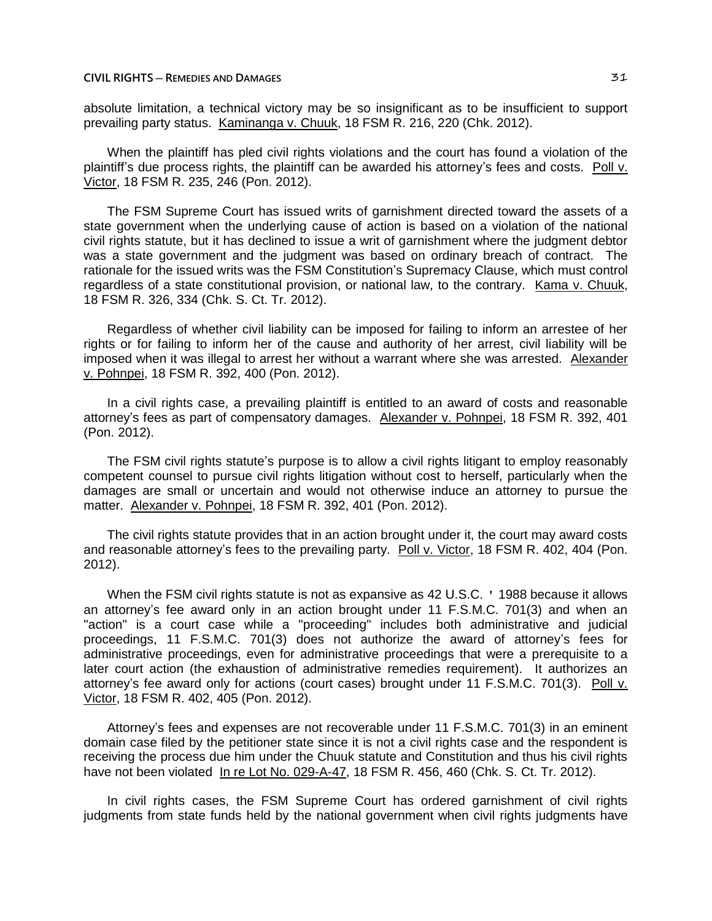absolute limitation, a technical victory may be so insignificant as to be insufficient to support prevailing party status. Kaminanga v. Chuuk, 18 FSM R. 216, 220 (Chk. 2012).

When the plaintiff has pled civil rights violations and the court has found a violation of the plaintiff's due process rights, the plaintiff can be awarded his attorney's fees and costs. Poll v. Victor, 18 FSM R. 235, 246 (Pon. 2012).

The FSM Supreme Court has issued writs of garnishment directed toward the assets of a state government when the underlying cause of action is based on a violation of the national civil rights statute, but it has declined to issue a writ of garnishment where the judgment debtor was a state government and the judgment was based on ordinary breach of contract. The rationale for the issued writs was the FSM Constitution's Supremacy Clause, which must control regardless of a state constitutional provision, or national law, to the contrary. Kama v. Chuuk, 18 FSM R. 326, 334 (Chk. S. Ct. Tr. 2012).

Regardless of whether civil liability can be imposed for failing to inform an arrestee of her rights or for failing to inform her of the cause and authority of her arrest, civil liability will be imposed when it was illegal to arrest her without a warrant where she was arrested. Alexander v. Pohnpei, 18 FSM R. 392, 400 (Pon. 2012).

In a civil rights case, a prevailing plaintiff is entitled to an award of costs and reasonable attorney's fees as part of compensatory damages. Alexander v. Pohnpei, 18 FSM R. 392, 401 (Pon. 2012).

The FSM civil rights statute's purpose is to allow a civil rights litigant to employ reasonably competent counsel to pursue civil rights litigation without cost to herself, particularly when the damages are small or uncertain and would not otherwise induce an attorney to pursue the matter. Alexander v. Pohnpei, 18 FSM R. 392, 401 (Pon. 2012).

The civil rights statute provides that in an action brought under it, the court may award costs and reasonable attorney's fees to the prevailing party. Poll v. Victor, 18 FSM R. 402, 404 (Pon. 2012).

When the FSM civil rights statute is not as expansive as 42 U.S.C. ' 1988 because it allows an attorney's fee award only in an action brought under 11 F.S.M.C. 701(3) and when an "action" is a court case while a "proceeding" includes both administrative and judicial proceedings, 11 F.S.M.C. 701(3) does not authorize the award of attorney's fees for administrative proceedings, even for administrative proceedings that were a prerequisite to a later court action (the exhaustion of administrative remedies requirement). It authorizes an attorney's fee award only for actions (court cases) brought under 11 F.S.M.C. 701(3). Poll v. Victor, 18 FSM R. 402, 405 (Pon. 2012).

Attorney's fees and expenses are not recoverable under 11 F.S.M.C. 701(3) in an eminent domain case filed by the petitioner state since it is not a civil rights case and the respondent is receiving the process due him under the Chuuk statute and Constitution and thus his civil rights have not been violated In re Lot No. 029-A-47, 18 FSM R. 456, 460 (Chk. S. Ct. Tr. 2012).

In civil rights cases, the FSM Supreme Court has ordered garnishment of civil rights judgments from state funds held by the national government when civil rights judgments have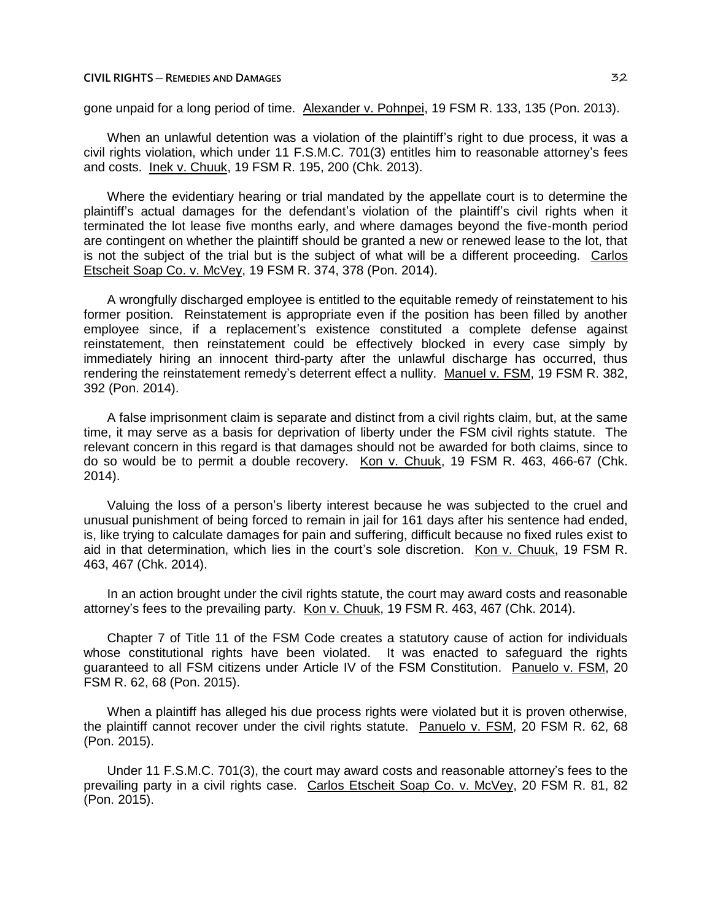gone unpaid for a long period of time. Alexander v. Pohnpei, 19 FSM R. 133, 135 (Pon. 2013).

When an unlawful detention was a violation of the plaintiff's right to due process, it was a civil rights violation, which under 11 F.S.M.C. 701(3) entitles him to reasonable attorney's fees and costs. Inek v. Chuuk, 19 FSM R. 195, 200 (Chk. 2013).

Where the evidentiary hearing or trial mandated by the appellate court is to determine the plaintiff's actual damages for the defendant's violation of the plaintiff's civil rights when it terminated the lot lease five months early, and where damages beyond the five-month period are contingent on whether the plaintiff should be granted a new or renewed lease to the lot, that is not the subject of the trial but is the subject of what will be a different proceeding. Carlos Etscheit Soap Co. v. McVey, 19 FSM R. 374, 378 (Pon. 2014).

A wrongfully discharged employee is entitled to the equitable remedy of reinstatement to his former position. Reinstatement is appropriate even if the position has been filled by another employee since, if a replacement's existence constituted a complete defense against reinstatement, then reinstatement could be effectively blocked in every case simply by immediately hiring an innocent third-party after the unlawful discharge has occurred, thus rendering the reinstatement remedy's deterrent effect a nullity. Manuel v. FSM, 19 FSM R. 382, 392 (Pon. 2014).

A false imprisonment claim is separate and distinct from a civil rights claim, but, at the same time, it may serve as a basis for deprivation of liberty under the FSM civil rights statute. The relevant concern in this regard is that damages should not be awarded for both claims, since to do so would be to permit a double recovery. Kon v. Chuuk, 19 FSM R. 463, 466-67 (Chk. 2014).

Valuing the loss of a person's liberty interest because he was subjected to the cruel and unusual punishment of being forced to remain in jail for 161 days after his sentence had ended, is, like trying to calculate damages for pain and suffering, difficult because no fixed rules exist to aid in that determination, which lies in the court's sole discretion. Kon v. Chuuk, 19 FSM R. 463, 467 (Chk. 2014).

In an action brought under the civil rights statute, the court may award costs and reasonable attorney's fees to the prevailing party. Kon v. Chuuk, 19 FSM R. 463, 467 (Chk. 2014).

Chapter 7 of Title 11 of the FSM Code creates a statutory cause of action for individuals whose constitutional rights have been violated. It was enacted to safeguard the rights guaranteed to all FSM citizens under Article IV of the FSM Constitution. Panuelo v. FSM, 20 FSM R. 62, 68 (Pon. 2015).

When a plaintiff has alleged his due process rights were violated but it is proven otherwise. the plaintiff cannot recover under the civil rights statute. Panuelo v. FSM, 20 FSM R. 62, 68 (Pon. 2015).

Under 11 F.S.M.C. 701(3), the court may award costs and reasonable attorney's fees to the prevailing party in a civil rights case. Carlos Etscheit Soap Co. v. McVey, 20 FSM R. 81, 82 (Pon. 2015).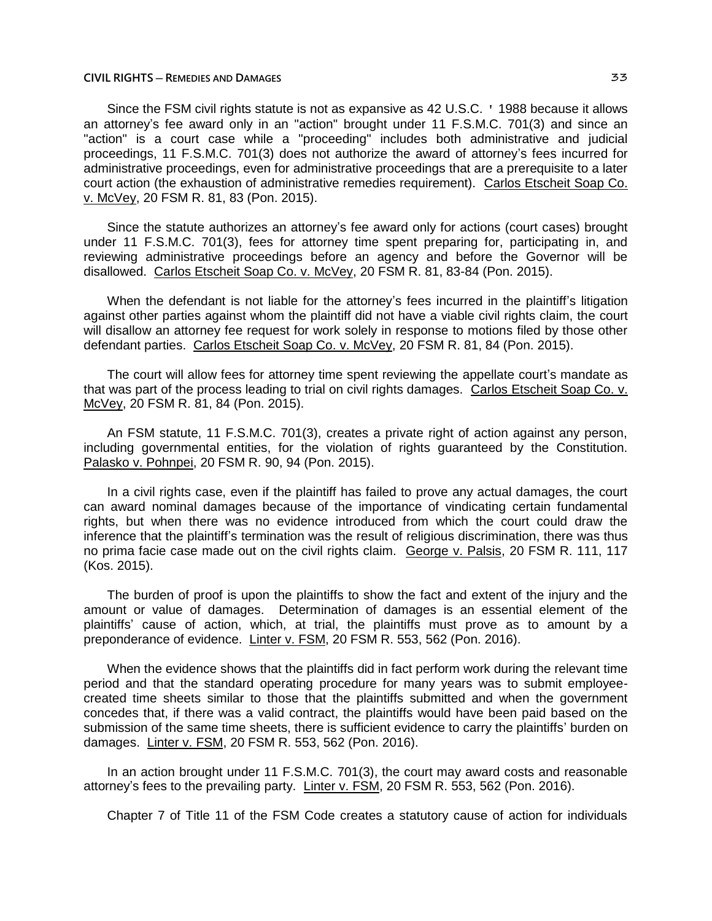Since the FSM civil rights statute is not as expansive as 42 U.S.C. ' 1988 because it allows an attorney's fee award only in an "action" brought under 11 F.S.M.C. 701(3) and since an "action" is a court case while a "proceeding" includes both administrative and judicial proceedings, 11 F.S.M.C. 701(3) does not authorize the award of attorney's fees incurred for administrative proceedings, even for administrative proceedings that are a prerequisite to a later court action (the exhaustion of administrative remedies requirement). Carlos Etscheit Soap Co. v. McVey, 20 FSM R. 81, 83 (Pon. 2015).

Since the statute authorizes an attorney's fee award only for actions (court cases) brought under 11 F.S.M.C. 701(3), fees for attorney time spent preparing for, participating in, and reviewing administrative proceedings before an agency and before the Governor will be disallowed. Carlos Etscheit Soap Co. v. McVey, 20 FSM R. 81, 83-84 (Pon. 2015).

When the defendant is not liable for the attorney's fees incurred in the plaintiff's litigation against other parties against whom the plaintiff did not have a viable civil rights claim, the court will disallow an attorney fee request for work solely in response to motions filed by those other defendant parties. Carlos Etscheit Soap Co. v. McVey, 20 FSM R. 81, 84 (Pon. 2015).

The court will allow fees for attorney time spent reviewing the appellate court's mandate as that was part of the process leading to trial on civil rights damages. Carlos Etscheit Soap Co. v. McVey, 20 FSM R. 81, 84 (Pon. 2015).

An FSM statute, 11 F.S.M.C. 701(3), creates a private right of action against any person, including governmental entities, for the violation of rights guaranteed by the Constitution. Palasko v. Pohnpei, 20 FSM R. 90, 94 (Pon. 2015).

In a civil rights case, even if the plaintiff has failed to prove any actual damages, the court can award nominal damages because of the importance of vindicating certain fundamental rights, but when there was no evidence introduced from which the court could draw the inference that the plaintiff's termination was the result of religious discrimination, there was thus no prima facie case made out on the civil rights claim. George v. Palsis, 20 FSM R. 111, 117 (Kos. 2015).

The burden of proof is upon the plaintiffs to show the fact and extent of the injury and the amount or value of damages. Determination of damages is an essential element of the plaintiffs' cause of action, which, at trial, the plaintiffs must prove as to amount by a preponderance of evidence. Linter v. FSM, 20 FSM R. 553, 562 (Pon. 2016).

When the evidence shows that the plaintiffs did in fact perform work during the relevant time period and that the standard operating procedure for many years was to submit employeecreated time sheets similar to those that the plaintiffs submitted and when the government concedes that, if there was a valid contract, the plaintiffs would have been paid based on the submission of the same time sheets, there is sufficient evidence to carry the plaintiffs' burden on damages. Linter v. FSM, 20 FSM R. 553, 562 (Pon. 2016).

In an action brought under 11 F.S.M.C. 701(3), the court may award costs and reasonable attorney's fees to the prevailing party. Linter v. FSM, 20 FSM R. 553, 562 (Pon. 2016).

Chapter 7 of Title 11 of the FSM Code creates a statutory cause of action for individuals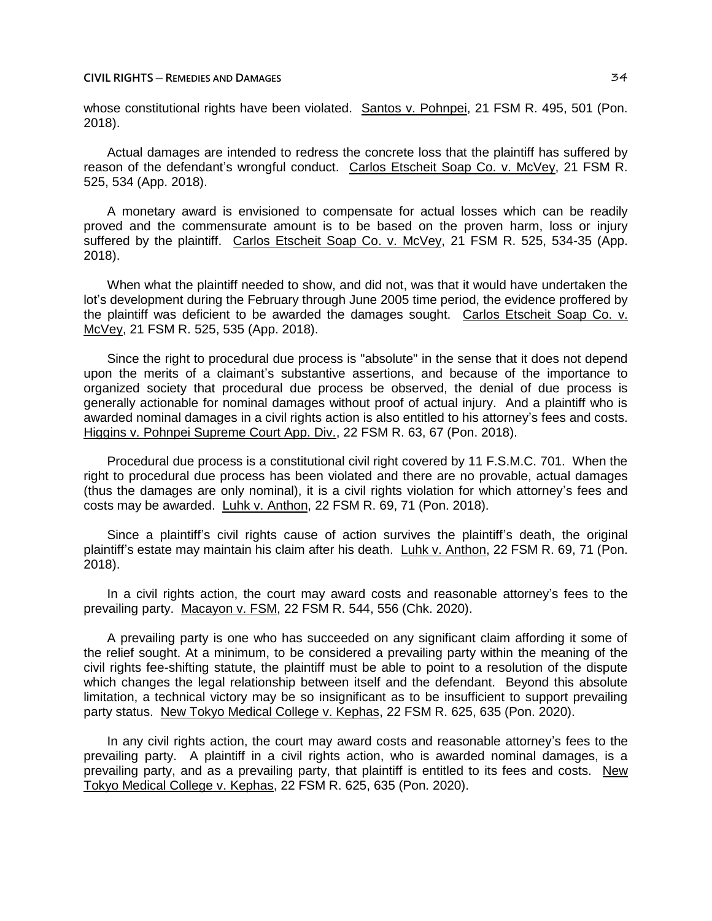whose constitutional rights have been violated. Santos v. Pohnpei, 21 FSM R. 495, 501 (Pon. 2018).

Actual damages are intended to redress the concrete loss that the plaintiff has suffered by reason of the defendant's wrongful conduct. Carlos Etscheit Soap Co. v. McVey, 21 FSM R. 525, 534 (App. 2018).

A monetary award is envisioned to compensate for actual losses which can be readily proved and the commensurate amount is to be based on the proven harm, loss or injury suffered by the plaintiff. Carlos Etscheit Soap Co. v. McVey, 21 FSM R. 525, 534-35 (App. 2018).

When what the plaintiff needed to show, and did not, was that it would have undertaken the lot's development during the February through June 2005 time period, the evidence proffered by the plaintiff was deficient to be awarded the damages sought. Carlos Etscheit Soap Co. v. McVey, 21 FSM R. 525, 535 (App. 2018).

Since the right to procedural due process is "absolute" in the sense that it does not depend upon the merits of a claimant's substantive assertions, and because of the importance to organized society that procedural due process be observed, the denial of due process is generally actionable for nominal damages without proof of actual injury. And a plaintiff who is awarded nominal damages in a civil rights action is also entitled to his attorney's fees and costs. Higgins v. Pohnpei Supreme Court App. Div., 22 FSM R. 63, 67 (Pon. 2018).

Procedural due process is a constitutional civil right covered by 11 F.S.M.C. 701. When the right to procedural due process has been violated and there are no provable, actual damages (thus the damages are only nominal), it is a civil rights violation for which attorney's fees and costs may be awarded. Luhk v. Anthon, 22 FSM R. 69, 71 (Pon. 2018).

Since a plaintiff's civil rights cause of action survives the plaintiff's death, the original plaintiff's estate may maintain his claim after his death. Luhk v. Anthon, 22 FSM R. 69, 71 (Pon. 2018).

In a civil rights action, the court may award costs and reasonable attorney's fees to the prevailing party. Macayon v. FSM, 22 FSM R. 544, 556 (Chk. 2020).

A prevailing party is one who has succeeded on any significant claim affording it some of the relief sought. At a minimum, to be considered a prevailing party within the meaning of the civil rights fee-shifting statute, the plaintiff must be able to point to a resolution of the dispute which changes the legal relationship between itself and the defendant. Beyond this absolute limitation, a technical victory may be so insignificant as to be insufficient to support prevailing party status. New Tokyo Medical College v. Kephas, 22 FSM R. 625, 635 (Pon. 2020).

In any civil rights action, the court may award costs and reasonable attorney's fees to the prevailing party. A plaintiff in a civil rights action, who is awarded nominal damages, is a prevailing party, and as a prevailing party, that plaintiff is entitled to its fees and costs. New Tokyo Medical College v. Kephas, 22 FSM R. 625, 635 (Pon. 2020).